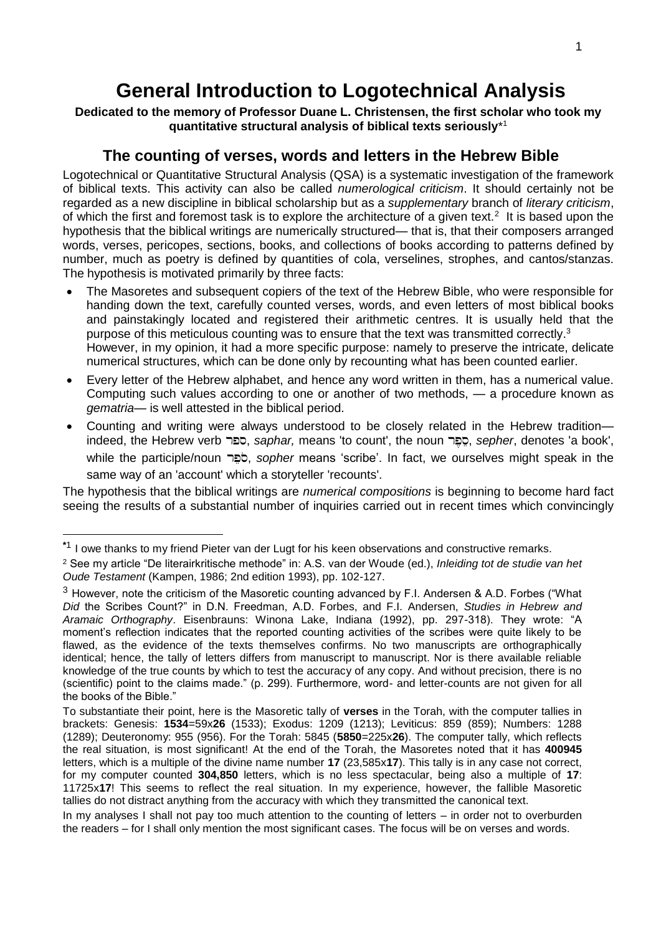# **General Introduction to Logotechnical Analysis**

**Dedicated to the memory of Professor Duane L. Christensen, the first scholar who took my quantitative structural analysis of biblical texts seriously**\* 1

# **The counting of verses, words and letters in the Hebrew Bible**

Logotechnical or Quantitative Structural Analysis (QSA) is a systematic investigation of the framework of biblical texts. This activity can also be called *numerological criticism*. It should certainly not be regarded as a new discipline in biblical scholarship but as a *supplementary* branch of *literary criticism*, of which the first and foremost task is to explore the architecture of a given text.<sup>2</sup> It is based upon the hypothesis that the biblical writings are numerically structured— that is, that their composers arranged words, verses, pericopes, sections, books, and collections of books according to patterns defined by number, much as poetry is defined by quantities of cola, verselines, strophes, and cantos/stanzas. The hypothesis is motivated primarily by three facts:

- The Masoretes and subsequent copiers of the text of the Hebrew Bible, who were responsible for handing down the text, carefully counted verses, words, and even letters of most biblical books and painstakingly located and registered their arithmetic centres. It is usually held that the purpose of this meticulous counting was to ensure that the text was transmitted correctly.<sup>3</sup> However, in my opinion, it had a more specific purpose: namely to preserve the intricate, delicate numerical structures, which can be done only by recounting what has been counted earlier.
- Every letter of the Hebrew alphabet, and hence any word written in them, has a numerical value. Computing such values according to one or another of two methods, — a procedure known as *gematria*— is well attested in the biblical period.
- Counting and writing were always understood to be closely related in the Hebrew tradition indeed, the Hebrew verb , *saphar,* means 'to count', the noun , *sepher*, denotes 'a book', while the participle/noun , *sopher* means 'scribe'. In fact, we ourselves might speak in the same way of an 'account' which a storyteller 'recounts'.

The hypothesis that the biblical writings are *numerical compositions* is beginning to become hard fact seeing the results of a substantial number of inquiries carried out in recent times which convincingly

-

**<sup>\*</sup>**1 I owe thanks to my friend Pieter van der Lugt for his keen observations and constructive remarks.

<sup>2</sup> See my article "De literairkritische methode" in: A.S. van der Woude (ed.), *Inleiding tot de studie van het Oude Testament* (Kampen, 1986; 2nd edition 1993), pp. 102-127.

 $3$  However, note the criticism of the Masoretic counting advanced by F.I. Andersen & A.D. Forbes ("What *Did* the Scribes Count?" in D.N. Freedman, A.D. Forbes, and F.I. Andersen, *Studies in Hebrew and Aramaic Orthography*. Eisenbrauns: Winona Lake, Indiana (1992), pp. 297-318). They wrote: "A moment's reflection indicates that the reported counting activities of the scribes were quite likely to be flawed, as the evidence of the texts themselves confirms. No two manuscripts are orthographically identical; hence, the tally of letters differs from manuscript to manuscript. Nor is there available reliable knowledge of the true counts by which to test the accuracy of any copy. And without precision, there is no (scientific) point to the claims made." (p. 299). Furthermore, word- and letter-counts are not given for all the books of the Bible."

To substantiate their point, here is the Masoretic tally of **verses** in the Torah, with the computer tallies in brackets: Genesis: **1534**=59x**26** (1533); Exodus: 1209 (1213); Leviticus: 859 (859); Numbers: 1288 (1289); Deuteronomy: 955 (956). For the Torah: 5845 (**5850**=225x**26**). The computer tally, which reflects the real situation, is most significant! At the end of the Torah, the Masoretes noted that it has **400945**  letters, which is a multiple of the divine name number **17** (23,585x**17**). This tally is in any case not correct, for my computer counted **304,850** letters, which is no less spectacular, being also a multiple of **17**: 11725x**17**! This seems to reflect the real situation. In my experience, however, the fallible Masoretic tallies do not distract anything from the accuracy with which they transmitted the canonical text.

In my analyses I shall not pay too much attention to the counting of letters – in order not to overburden the readers – for I shall only mention the most significant cases. The focus will be on verses and words.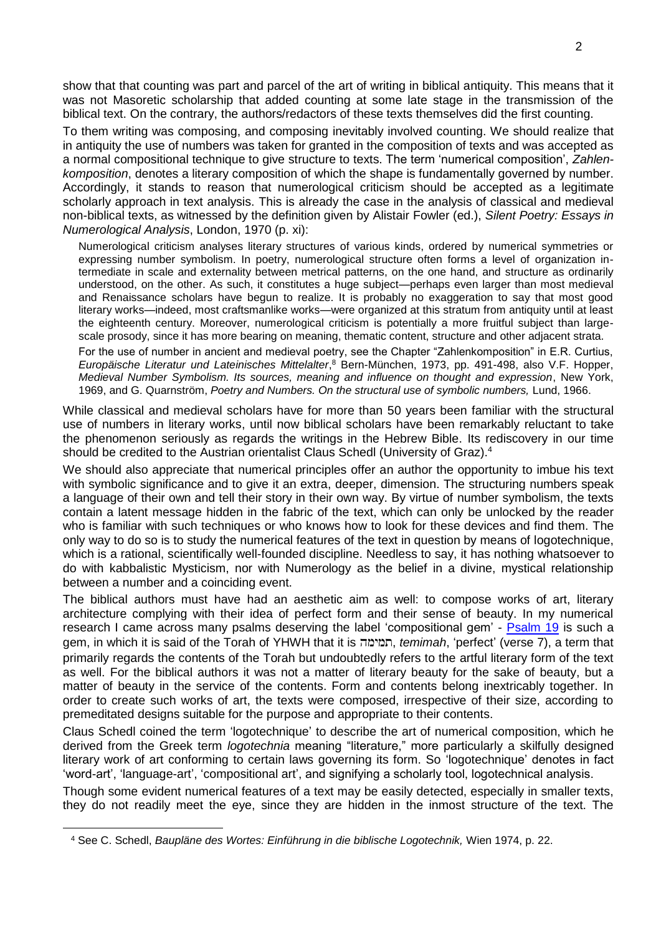show that that counting was part and parcel of the art of writing in biblical antiquity. This means that it was not Masoretic scholarship that added counting at some late stage in the transmission of the biblical text. On the contrary, the authors/redactors of these texts themselves did the first counting.

To them writing was composing, and composing inevitably involved counting. We should realize that in antiquity the use of numbers was taken for granted in the composition of texts and was accepted as a normal compositional technique to give structure to texts. The term 'numerical composition', *Zahlenkomposition*, denotes a literary composition of which the shape is fundamentally governed by number. Accordingly, it stands to reason that numerological criticism should be accepted as a legitimate scholarly approach in text analysis. This is already the case in the analysis of classical and medieval non-biblical texts, as witnessed by the definition given by Alistair Fowler (ed.), *Silent Poetry: Essays in Numerological Analysis*, London, 1970 (p. xi):

Numerological criticism analyses literary structures of various kinds, ordered by numerical symmetries or expressing number symbolism. In poetry, numerological structure often forms a level of organization intermediate in scale and externality between metrical patterns, on the one hand, and structure as ordinarily understood, on the other. As such, it constitutes a huge subject—perhaps even larger than most medieval and Renaissance scholars have begun to realize. It is probably no exaggeration to say that most good literary works—indeed, most craftsmanlike works—were organized at this stratum from antiquity until at least the eighteenth century. Moreover, numerological criticism is potentially a more fruitful subject than largescale prosody, since it has more bearing on meaning, thematic content, structure and other adjacent strata.

For the use of number in ancient and medieval poetry, see the Chapter "Zahlenkomposition" in E.R. Curtius, *Europäische Literatur und Lateinisches Mittelalter*, <sup>8</sup> Bern-München, 1973, pp. 491-498, also V.F. Hopper, *Medieval Number Symbolism. Its sources, meaning and influence on thought and expression*, New York, 1969, and G. Quarnström, *Poetry and Numbers. On the structural use of symbolic numbers,* Lund, 1966.

While classical and medieval scholars have for more than 50 years been familiar with the structural use of numbers in literary works, until now biblical scholars have been remarkably reluctant to take the phenomenon seriously as regards the writings in the Hebrew Bible. Its rediscovery in our time should be credited to the Austrian orientalist Claus Schedl (University of Graz).<sup>4</sup>

We should also appreciate that numerical principles offer an author the opportunity to imbue his text with symbolic significance and to give it an extra, deeper, dimension. The structuring numbers speak a language of their own and tell their story in their own way. By virtue of number symbolism, the texts contain a latent message hidden in the fabric of the text, which can only be unlocked by the reader who is familiar with such techniques or who knows how to look for these devices and find them. The only way to do so is to study the numerical features of the text in question by means of logotechnique, which is a rational, scientifically well-founded discipline. Needless to say, it has nothing whatsoever to do with kabbalistic Mysticism, nor with Numerology as the belief in a divine, mystical relationship between a number and a coinciding event.

The biblical authors must have had an aesthetic aim as well: to compose works of art, literary architecture complying with their idea of perfect form and their sense of beauty. In my numerical research I came across many psalms deserving the label 'compositional gem' - [Psalm 19](http://www.labuschagne.nl/ps019.pdf) is such a gem, in which it is said of the Torah of YHWH that it is , *temimah*, 'perfect' (verse 7), a term that primarily regards the contents of the Torah but undoubtedly refers to the artful literary form of the text as well. For the biblical authors it was not a matter of literary beauty for the sake of beauty, but a matter of beauty in the service of the contents. Form and contents belong inextricably together. In order to create such works of art, the texts were composed, irrespective of their size, according to premeditated designs suitable for the purpose and appropriate to their contents.

Claus Schedl coined the term 'logotechnique' to describe the art of numerical composition, which he derived from the Greek term *logotechnia* meaning "literature," more particularly a skilfully designed literary work of art conforming to certain laws governing its form. So 'logotechnique' denotes in fact 'word-art', 'language-art', 'compositional art', and signifying a scholarly tool, logotechnical analysis.

Though some evident numerical features of a text may be easily detected, especially in smaller texts, they do not readily meet the eye, since they are hidden in the inmost structure of the text. The

-

<sup>4</sup> See C. Schedl, *Baupläne des Wortes: Einführung in die biblische Logotechnik,* Wien 1974, p. 22.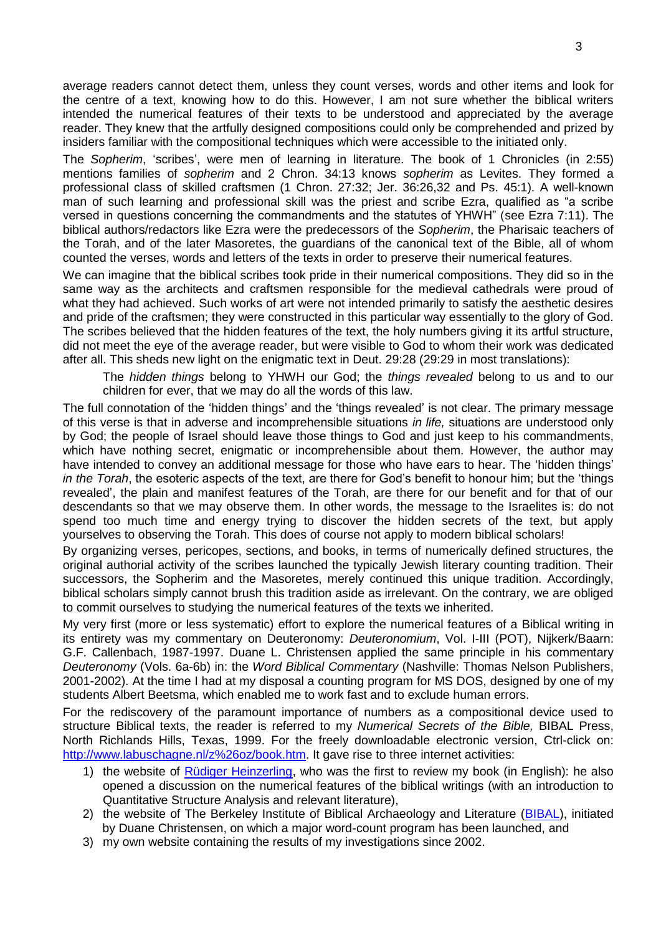average readers cannot detect them, unless they count verses, words and other items and look for the centre of a text, knowing how to do this. However, I am not sure whether the biblical writers intended the numerical features of their texts to be understood and appreciated by the average reader. They knew that the artfully designed compositions could only be comprehended and prized by insiders familiar with the compositional techniques which were accessible to the initiated only.

The *Sopherim*, 'scribes', were men of learning in literature. The book of 1 Chronicles (in 2:55) mentions families of *sopherim* and 2 Chron. 34:13 knows *sopherim* as Levites. They formed a professional class of skilled craftsmen (1 Chron. 27:32; Jer. 36:26,32 and Ps. 45:1). A well-known man of such learning and professional skill was the priest and scribe Ezra, qualified as "a scribe versed in questions concerning the commandments and the statutes of YHWH" (see Ezra 7:11). The biblical authors/redactors like Ezra were the predecessors of the *Sopherim*, the Pharisaic teachers of the Torah, and of the later Masoretes, the guardians of the canonical text of the Bible, all of whom counted the verses, words and letters of the texts in order to preserve their numerical features.

We can imagine that the biblical scribes took pride in their numerical compositions. They did so in the same way as the architects and craftsmen responsible for the medieval cathedrals were proud of what they had achieved. Such works of art were not intended primarily to satisfy the aesthetic desires and pride of the craftsmen; they were constructed in this particular way essentially to the glory of God. The scribes believed that the hidden features of the text, the holy numbers giving it its artful structure, did not meet the eye of the average reader, but were visible to God to whom their work was dedicated after all. This sheds new light on the enigmatic text in Deut. 29:28 (29:29 in most translations):

The *hidden things* belong to YHWH our God; the *things revealed* belong to us and to our children for ever, that we may do all the words of this law.

The full connotation of the 'hidden things' and the 'things revealed' is not clear. The primary message of this verse is that in adverse and incomprehensible situations *in life,* situations are understood only by God; the people of Israel should leave those things to God and just keep to his commandments, which have nothing secret, enigmatic or incomprehensible about them. However, the author may have intended to convey an additional message for those who have ears to hear. The 'hidden things' *in the Torah*, the esoteric aspects of the text, are there for God's benefit to honour him; but the 'things revealed', the plain and manifest features of the Torah, are there for our benefit and for that of our descendants so that we may observe them. In other words, the message to the Israelites is: do not spend too much time and energy trying to discover the hidden secrets of the text, but apply yourselves to observing the Torah. This does of course not apply to modern biblical scholars!

By organizing verses, pericopes, sections, and books, in terms of numerically defined structures, the original authorial activity of the scribes launched the typically Jewish literary counting tradition. Their successors, the Sopherim and the Masoretes, merely continued this unique tradition. Accordingly, biblical scholars simply cannot brush this tradition aside as irrelevant. On the contrary, we are obliged to commit ourselves to studying the numerical features of the texts we inherited.

My very first (more or less systematic) effort to explore the numerical features of a Biblical writing in its entirety was my commentary on Deuteronomy: *Deuteronomium*, Vol. I-III (POT), Nijkerk/Baarn: G.F. Callenbach, 1987-1997. Duane L. Christensen applied the same principle in his commentary *Deuteronomy* (Vols. 6a-6b) in: the *Word Biblical Commentary* (Nashville: Thomas Nelson Publishers, 2001-2002). At the time I had at my disposal a counting program for MS DOS, designed by one of my students Albert Beetsma, which enabled me to work fast and to exclude human errors.

For the rediscovery of the paramount importance of numbers as a compositional device used to structure Biblical texts, the reader is referred to my *Numerical Secrets of the Bible,* BIBAL Press, North Richlands Hills, Texas, 1999. For the freely downloadable electronic version, Ctrl-click on: [http://www.labuschagne.nl/z%26oz/book.htm.](http://www.labuschagne.nl/z%26oz/book.htm) It gave rise to three internet activities:

- 1) the website of [Rüdiger Heinzerling,](http://www.ruediger-heinzerling.de/) who was the first to review my book (in English): he also opened a discussion on the numerical features of the biblical writings (with an introduction to Quantitative Structure Analysis and relevant literature),
- 2) the website of The Berkeley Institute of Biblical Archaeology and Literature [\(BIBAL\)](http://www.bibal.net/), initiated by Duane Christensen, on which a major word-count program has been launched, and
- 3) my own website containing the results of my investigations since 2002.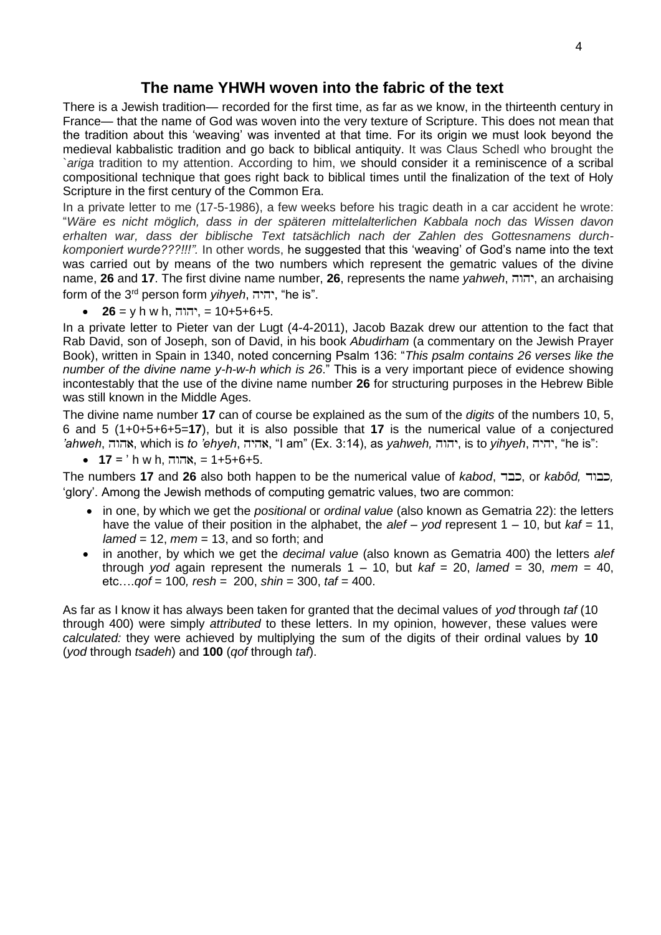## **The name YHWH woven into the fabric of the text**

There is a Jewish tradition— recorded for the first time, as far as we know, in the thirteenth century in France— that the name of God was woven into the very texture of Scripture. This does not mean that the tradition about this 'weaving' was invented at that time. For its origin we must look beyond the medieval kabbalistic tradition and go back to biblical antiquity. It was Claus Schedl who brought the `*ariga* tradition to my attention. According to him, we should consider it a reminiscence of a scribal compositional technique that goes right back to biblical times until the finalization of the text of Holy Scripture in the first century of the Common Era.

In a private letter to me (17-5-1986), a few weeks before his tragic death in a car accident he wrote: "*Wäre es nicht möglich, dass in der späteren mittelalterlichen Kabbala noch das Wissen davon erhalten war, dass der biblische Text tatsächlich nach der Zahlen des Gottesnamens durchkomponiert wurde???!!!".* In other words, he suggested that this 'weaving' of God's name into the text was carried out by means of the two numbers which represent the gematric values of the divine name, **26** and **17**. The first divine name number, **26**, represents the name *yahweh*, , an archaising form of the 3<sup>rd</sup> person form *yihyeh*, יהיה, "he is".

 $26 = y h w h$ , יהוה, = 10+5+6+5.

In a private letter to Pieter van der Lugt (4-4-2011), Jacob Bazak drew our attention to the fact that Rab David, son of Joseph, son of David, in his book *Abudirham* (a commentary on the Jewish Prayer Book), written in Spain in 1340, noted concerning Psalm 136: "*This psalm contains 26 verses like the number of the divine name y-h-w-h which is 26*." This is a very important piece of evidence showing incontestably that the use of the divine name number **26** for structuring purposes in the Hebrew Bible was still known in the Middle Ages.

The divine name number **17** can of course be explained as the sum of the *digits* of the numbers 10, 5, 6 and 5 (1+0+5+6+5=**17**), but it is also possible that **17** is the numerical value of a conjectured 'ahweh, אהוה, which is *to 'ehyeh*, אהיה, "I am" (Ex. 3:14), as *yahweh, יהוה*, is to *yihyeh*, יהיה, "he is":

• **17** = ' h w h, , = 1+5+6+5.

The numbers **17** and **26** also both happen to be the numerical value of *kabod*, , כבוד, or *kabôd*, , 'glory'. Among the Jewish methods of computing gematric values, two are common:

- in one, by which we get the *positional* or *ordinal value* (also known as Gematria 22): the letters have the value of their position in the alphabet, the *alef* – *yod* represent 1 – 10, but *kaf* = 11, *lamed* = 12, *mem* = 13, and so forth; and
- in another, by which we get the *decimal value* (also known as Gematria 400) the letters *alef* through *yod* again represent the numerals  $1 - 10$ , but  $kaf = 20$ , lamed = 30, mem = 40, etc….*qof* = 100*, resh =* 200, *shin* = 300, *taf =* 400.

As far as I know it has always been taken for granted that the decimal values of *yod* through *taf* (10 through 400) were simply *attributed* to these letters. In my opinion, however, these values were *calculated:* they were achieved by multiplying the sum of the digits of their ordinal values by **10** (*yod* through *tsadeh*) and **100** (*qof* through *taf*).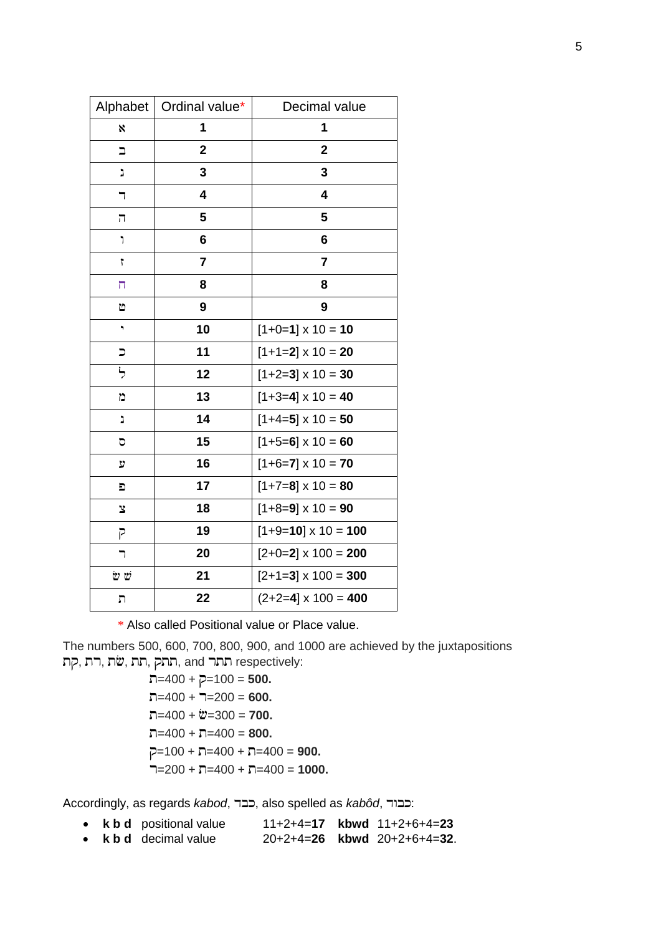|                          | Alphabet   Ordinal value* | Decimal value              |
|--------------------------|---------------------------|----------------------------|
| X                        | 1                         | 1                          |
| $\Box$                   | $\overline{2}$            | $\mathbf{2}$               |
| J                        | 3                         | 3                          |
| ┑                        | 4                         | 4                          |
| π                        | 5                         | 5                          |
| ٦                        | 6                         | 6                          |
| 7                        | $\overline{7}$            | $\overline{7}$             |
| π                        | 8                         | 8                          |
| Ъ                        | 9                         | 9                          |
| ٠                        | 10                        | $[1+0=1] \times 10 = 10$   |
| $\overline{\phantom{a}}$ | 11                        | $[1+1=2] \times 10 = 20$   |
| ら                        | 12                        | $[1+2=3] \times 10 = 30$   |
| D                        | 13                        | $[1+3=4] \times 10 = 40$   |
| נ                        | 14                        | $[1+4=5] \times 10 = 50$   |
| D                        | 15                        | $[1+5=6] \times 10 = 60$   |
| y                        | 16                        | $[1+6=7] \times 10 = 70$   |
| Đ                        | 17                        | $[1+7=8] \times 10 = 80$   |
| <b>S</b>                 | 18                        | $[1+8=9] \times 10 = 90$   |
| P                        | 19                        | $[1+9=10] \times 10 = 100$ |
| ┑                        | 20                        | $[2+0=2] \times 100 = 200$ |
| ש ש                      | 21                        | $[2+1=3] \times 100 = 300$ |
| ŋ                        | 22                        | $(2+2=4] \times 100 = 400$ |

\* Also called Positional value or Place value.

The numbers 500, 600, 700, 800, 900, and 1000 are achieved by the juxtapositions , תת ,שׂת, הוא, התק, and התר respectively:

> $\overline{n}$ =400 +  $\overline{p}$ =100 = **500.**  $T=400 + T=200 = 600$ .  $\Box = 400 + \mathcal{V} = 300 = 700.$  $\Box = 400 + \Box = 400 = 800.$  $=100 + \square = 400 + \square = 400 = 900$ .  $7=200 + 7=400 + 7=400 = 1000$ .

Accordingly, as regards *kabod*, כבר, also spelled as *kabôd*, כבוד.

|  | • k b d positional value           |  | $11+2+4=17$ kbwd $11+2+6+4=23$   |
|--|------------------------------------|--|----------------------------------|
|  | $\bullet$ <b>kbd</b> decimal value |  | $20+2+4=26$ kbwd $20+2+6+4=32$ . |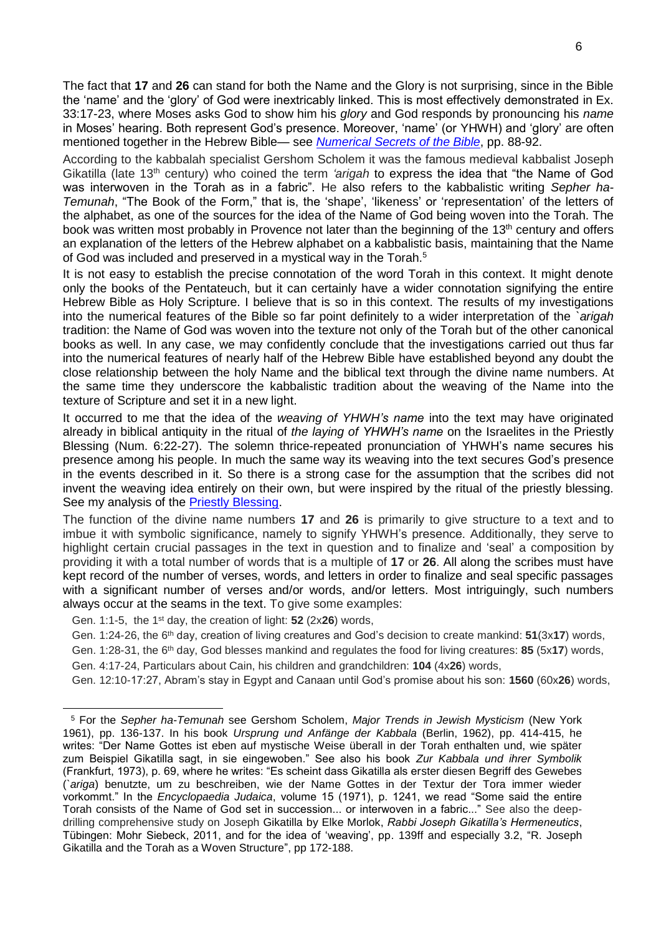The fact that **17** and **26** can stand for both the Name and the Glory is not surprising, since in the Bible the 'name' and the 'glory' of God were inextricably linked. This is most effectively demonstrated in Ex. 33:17-23, where Moses asks God to show him his *glory* and God responds by pronouncing his *name* in Moses' hearing. Both represent God's presence. Moreover, 'name' (or YHWH) and 'glory' are often mentioned together in the Hebrew Bible— see *[Numerical Secrets of the Bible](http://www.labuschagne.nl/z%26oz/book.htm)*, pp. 88-92.

According to the kabbalah specialist Gershom Scholem it was the famous medieval kabbalist Joseph Gikatilla (late 13th century) who coined the term *'arigah* to express the idea that "the Name of God was interwoven in the Torah as in a fabric". He also refers to the kabbalistic writing *Sepher ha-Temunah*, "The Book of the Form," that is, the 'shape', 'likeness' or 'representation' of the letters of the alphabet, as one of the sources for the idea of the Name of God being woven into the Torah. The book was written most probably in Provence not later than the beginning of the 13<sup>th</sup> century and offers an explanation of the letters of the Hebrew alphabet on a kabbalistic basis, maintaining that the Name of God was included and preserved in a mystical way in the Torah.<sup>5</sup>

It is not easy to establish the precise connotation of the word Torah in this context. It might denote only the books of the Pentateuch, but it can certainly have a wider connotation signifying the entire Hebrew Bible as Holy Scripture. I believe that is so in this context. The results of my investigations into the numerical features of the Bible so far point definitely to a wider interpretation of the *`arigah* tradition: the Name of God was woven into the texture not only of the Torah but of the other canonical books as well. In any case, we may confidently conclude that the investigations carried out thus far into the numerical features of nearly half of the Hebrew Bible have established beyond any doubt the close relationship between the holy Name and the biblical text through the divine name numbers. At the same time they underscore the kabbalistic tradition about the weaving of the Name into the texture of Scripture and set it in a new light.

It occurred to me that the idea of the *weaving of YHWH's name* into the text may have originated already in biblical antiquity in the ritual of *the laying of YHWH's name* on the Israelites in the Priestly Blessing (Num. 6:22-27). The solemn thrice-repeated pronunciation of YHWH's name secures his presence among his people. In much the same way its weaving into the text secures God's presence in the events described in it. So there is a strong case for the assumption that the scribes did not invent the weaving idea entirely on their own, but were inspired by the ritual of the priestly blessing. See my analysis of the [Priestly Blessing.](http://www.labuschagne.nl/4.num6.pdf)

The function of the divine name numbers **17** and **26** is primarily to give structure to a text and to imbue it with symbolic significance, namely to signify YHWH's presence. Additionally, they serve to highlight certain crucial passages in the text in question and to finalize and 'seal' a composition by providing it with a total number of words that is a multiple of **17** or **26**. All along the scribes must have kept record of the number of verses, words, and letters in order to finalize and seal specific passages with a significant number of verses and/or words, and/or letters. Most intriguingly, such numbers always occur at the seams in the text. To give some examples:

Gen. 1:1-5, the 1st day, the creation of light: **52** (2x**26**) words,

-

Gen. 1:24-26, the 6th day, creation of living creatures and God's decision to create mankind: **51**(3x**17**) words,

Gen. 1:28-31, the 6th day, God blesses mankind and regulates the food for living creatures: **85** (5x**17**) words,

Gen. 4:17-24, Particulars about Cain, his children and grandchildren: **104** (4x**26**) words,

Gen. 12:10-17:27, Abram's stay in Egypt and Canaan until God's promise about his son: **1560** (60x**26**) words,

<sup>5</sup> For the *Sepher ha-Temunah* see Gershom Scholem, *Major Trends in Jewish Mysticism* (New York 1961), pp. 136-137. In his book *Ursprung und Anfänge der Kabbala* (Berlin, 1962), pp. 414-415, he writes: "Der Name Gottes ist eben auf mystische Weise überall in der Torah enthalten und, wie später zum Beispiel Gikatilla sagt, in sie eingewoben." See also his book *Zur Kabbala und ihrer Symbolik* (Frankfurt, 1973), p. 69, where he writes: "Es scheint dass Gikatilla als erster diesen Begriff des Gewebes (*`ariga*) benutzte, um zu beschreiben, wie der Name Gottes in der Textur der Tora immer wieder vorkommt." In the *Encyclopaedia Judaica*, volume 15 (1971), p. 1241, we read "Some said the entire Torah consists of the Name of God set in succession... or interwoven in a fabric..." See also the deepdrilling comprehensive study on Joseph Gikatilla by Elke Morlok, *Rabbi Joseph Gikatilla's Hermeneutics*, Tübingen: Mohr Siebeck, 2011, and for the idea of 'weaving', pp. 139ff and especially 3.2, "R. Joseph Gikatilla and the Torah as a Woven Structure", pp 172-188.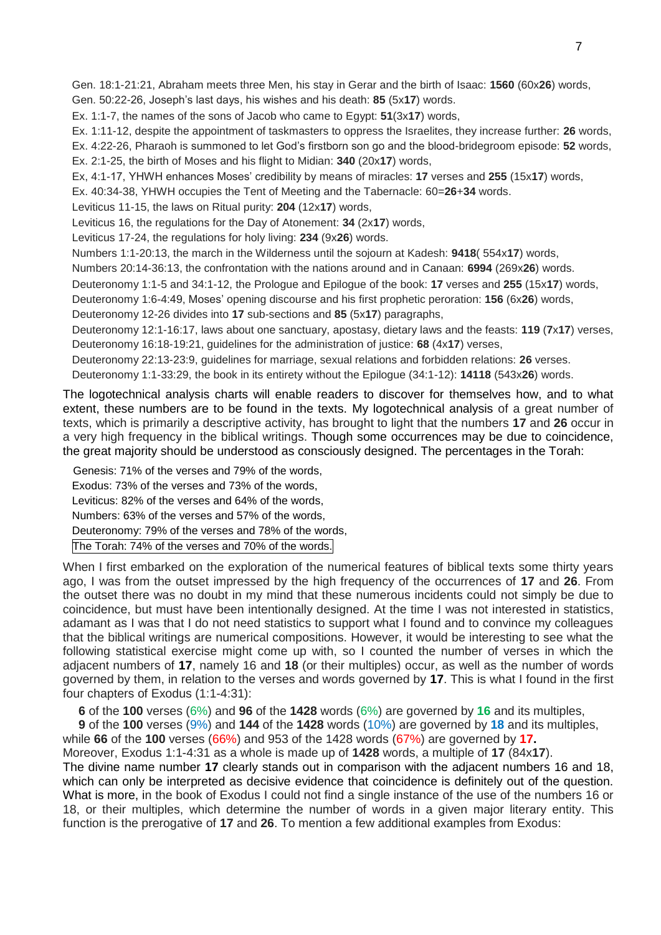Gen. 18:1-21:21, Abraham meets three Men, his stay in Gerar and the birth of Isaac: **1560** (60x**26**) words, Gen. 50:22-26, Joseph's last days, his wishes and his death: **85** (5x**17**) words.

Ex. 1:1-7, the names of the sons of Jacob who came to Egypt: **51**(3x**17**) words,

Ex. 1:11-12, despite the appointment of taskmasters to oppress the Israelites, they increase further: **26** words,

 Ex. 4:22-26, Pharaoh is summoned to let God's firstborn son go and the blood-bridegroom episode: **52** words, Ex. 2:1-25, the birth of Moses and his flight to Midian: **340** (20x**17**) words,

Ex, 4:1-17, YHWH enhances Moses' credibility by means of miracles: **17** verses and **255** (15x**17**) words,

Ex. 40:34-38, YHWH occupies the Tent of Meeting and the Tabernacle: 60=**26**+**34** words.

Leviticus 11-15, the laws on Ritual purity: **204** (12x**17**) words,

Leviticus 16, the regulations for the Day of Atonement: **34** (2x**17**) words,

Leviticus 17-24, the regulations for holy living: **234** (9x**26**) words.

Numbers 1:1-20:13, the march in the Wilderness until the sojourn at Kadesh: **9418**( 554x**17**) words,

Numbers 20:14-36:13, the confrontation with the nations around and in Canaan: **6994** (269x**26**) words.

Deuteronomy 1:1-5 and 34:1-12, the Prologue and Epilogue of the book: **17** verses and **255** (15x**17**) words,

Deuteronomy 1:6-4:49, Moses' opening discourse and his first prophetic peroration: **156** (6x**26**) words,

Deuteronomy 12-26 divides into **17** sub-sections and **85** (5x**17**) paragraphs,

 Deuteronomy 12:1-16:17, laws about one sanctuary, apostasy, dietary laws and the feasts: **119** (**7**x**17**) verses, Deuteronomy 16:18-19:21, guidelines for the administration of justice: **68** (4x**17**) verses,

Deuteronomy 22:13-23:9, guidelines for marriage, sexual relations and forbidden relations: **26** verses.

Deuteronomy 1:1-33:29, the book in its entirety without the Epilogue (34:1-12): **14118** (543x**26**) words.

The logotechnical analysis charts will enable readers to discover for themselves how, and to what extent, these numbers are to be found in the texts. My logotechnical analysis of a great number of texts, which is primarily a descriptive activity, has brought to light that the numbers **17** and **26** occur in a very high frequency in the biblical writings. Though some occurrences may be due to coincidence, the great majority should be understood as consciously designed. The percentages in the Torah:

 Genesis: 71% of the verses and 79% of the words, Exodus: 73% of the verses and 73% of the words, Leviticus: 82% of the verses and 64% of the words, Numbers: 63% of the verses and 57% of the words, Deuteronomy: 79% of the verses and 78% of the words, The Torah: 74% of the verses and 70% of the words.

When I first embarked on the exploration of the numerical features of biblical texts some thirty years ago, I was from the outset impressed by the high frequency of the occurrences of **17** and **26**. From the outset there was no doubt in my mind that these numerous incidents could not simply be due to coincidence, but must have been intentionally designed. At the time I was not interested in statistics, adamant as I was that I do not need statistics to support what I found and to convince my colleagues that the biblical writings are numerical compositions. However, it would be interesting to see what the following statistical exercise might come up with, so I counted the number of verses in which the adjacent numbers of **17**, namely 16 and **18** (or their multiples) occur, as well as the number of words governed by them, in relation to the verses and words governed by **17**. This is what I found in the first four chapters of Exodus (1:1-4:31):

**6** of the **100** verses (6%) and **96** of the **1428** words (6%) are governed by **16** and its multiples,

**9** of the **100** verses (9%) and **144** of the **1428** words (10%) are governed by **18** and its multiples,

while **66** of the **100** verses (66%) and 953 of the 1428 words (67%) are governed by **17.**

Moreover, Exodus 1:1-4:31 as a whole is made up of **1428** words, a multiple of **17** (84x**17**). The divine name number **17** clearly stands out in comparison with the adjacent numbers 16 and 18, which can only be interpreted as decisive evidence that coincidence is definitely out of the question. What is more, in the book of Exodus I could not find a single instance of the use of the numbers 16 or 18, or their multiples, which determine the number of words in a given major literary entity. This function is the prerogative of **17** and **26**. To mention a few additional examples from Exodus: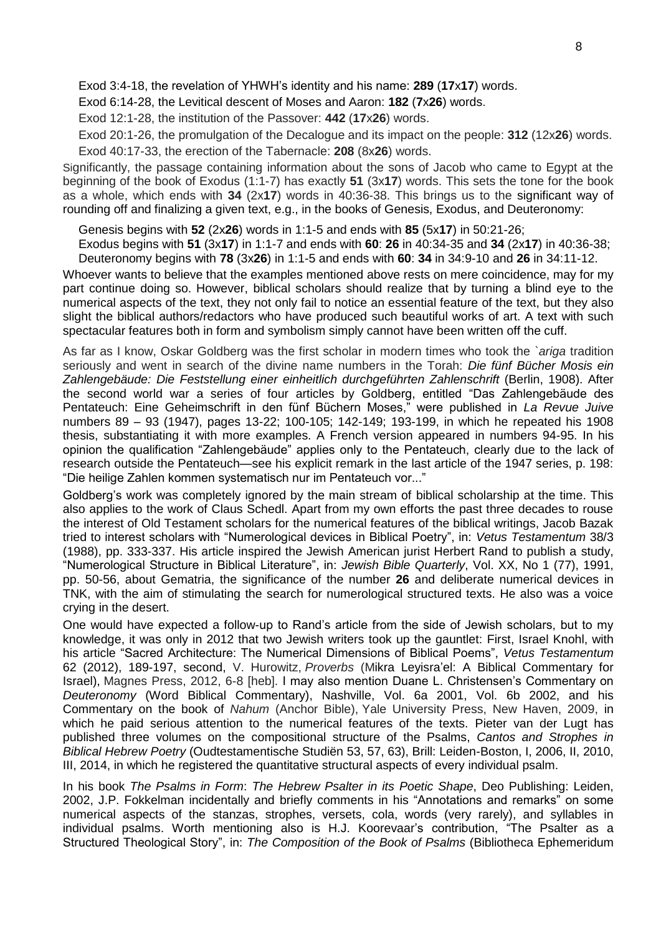Exod 3:4-18, the revelation of YHWH's identity and his name: **289** (**17**x**17**) words.

Exod 6:14-28, the Levitical descent of Moses and Aaron: **182** (**7**x**26**) words.

Exod 12:1-28, the institution of the Passover: **442** (**17**x**26**) words.

Exod 20:1-26, the promulgation of the Decalogue and its impact on the people: **312** (12x**26**) words. Exod 40:17-33, the erection of the Tabernacle: **208** (8x**26**) words.

Significantly, the passage containing information about the sons of Jacob who came to Egypt at the beginning of the book of Exodus (1:1-7) has exactly **51** (3x**17**) words. This sets the tone for the book as a whole, which ends with **34** (2x**17**) words in 40:36-38. This brings us to the significant way of rounding off and finalizing a given text, e.g., in the books of Genesis, Exodus, and Deuteronomy:

Genesis begins with **52** (2x**26**) words in 1:1-5 and ends with **85** (5x**17**) in 50:21-26;

Exodus begins with **51** (3x**17**) in 1:1-7 and ends with **60**: **26** in 40:34-35 and **34** (2x**17**) in 40:36-38; Deuteronomy begins with **78** (3x**26**) in 1:1-5 and ends with **60**: **34** in 34:9-10 and **26** in 34:11-12.

Whoever wants to believe that the examples mentioned above rests on mere coincidence, may for my part continue doing so. However, biblical scholars should realize that by turning a blind eye to the numerical aspects of the text, they not only fail to notice an essential feature of the text, but they also slight the biblical authors/redactors who have produced such beautiful works of art. A text with such spectacular features both in form and symbolism simply cannot have been written off the cuff.

As far as I know, Oskar Goldberg was the first scholar in modern times who took the *`ariga* tradition seriously and went in search of the divine name numbers in the Torah: *Die fünf Bücher Mosis ein Zahlengebäude: Die Feststellung einer einheitlich durchgeführten Zahlenschrift* (Berlin, 1908). After the second world war a series of four articles by Goldberg, entitled "Das Zahlengebäude des Pentateuch: Eine Geheimschrift in den fünf Büchern Moses," were published in *La Revue Juive* numbers 89 – 93 (1947), pages 13-22; 100-105; 142-149; 193-199, in which he repeated his 1908 thesis, substantiating it with more examples. A French version appeared in numbers 94-95. In his opinion the qualification "Zahlengebäude" applies only to the Pentateuch, clearly due to the lack of research outside the Pentateuch—see his explicit remark in the last article of the 1947 series, p. 198: "Die heilige Zahlen kommen systematisch nur im Pentateuch vor..."

Goldberg's work was completely ignored by the main stream of biblical scholarship at the time. This also applies to the work of Claus Schedl. Apart from my own efforts the past three decades to rouse the interest of Old Testament scholars for the numerical features of the biblical writings, Jacob Bazak tried to interest scholars with "Numerological devices in Biblical Poetry", in: *Vetus Testamentum* 38/3 (1988), pp. 333-337. His article inspired the Jewish American jurist Herbert Rand to publish a study, "Numerological Structure in Biblical Literature", in: *Jewish Bible Quarterly*, Vol. XX, No 1 (77), 1991, pp. 50-56, about Gematria, the significance of the number **26** and deliberate numerical devices in TNK, with the aim of stimulating the search for numerological structured texts. He also was a voice crying in the desert.

One would have expected a follow-up to Rand's article from the side of Jewish scholars, but to my knowledge, it was only in 2012 that two Jewish writers took up the gauntlet: First, Israel Knohl, with his article "Sacred Architecture: The Numerical Dimensions of Biblical Poems", *Vetus Testamentum* 62 (2012), 189-197, second, V. Hurowitz, *Proverbs* (Mikra Leyisra'el: A Biblical Commentary for Israel), Magnes Press, 2012, 6-8 [heb]. I may also mention Duane L. Christensen's Commentary on *Deuteronomy* (Word Biblical Commentary), Nashville, Vol. 6a 2001, Vol. 6b 2002, and his Commentary on the book of *Nahum* (Anchor Bible), Yale University Press, New Haven, 2009, in which he paid serious attention to the numerical features of the texts. Pieter van der Lugt has published three volumes on the compositional structure of the Psalms, *Cantos and Strophes in Biblical Hebrew Poetry* (Oudtestamentische Studiën 53, 57, 63), Brill: Leiden-Boston, I, 2006, II, 2010, III, 2014, in which he registered the quantitative structural aspects of every individual psalm.

In his book *The Psalms in Form*: *The Hebrew Psalter in its Poetic Shape*, Deo Publishing: Leiden, 2002, J.P. Fokkelman incidentally and briefly comments in his "Annotations and remarks" on some numerical aspects of the stanzas, strophes, versets, cola, words (very rarely), and syllables in individual psalms. Worth mentioning also is H.J. Koorevaar's contribution, "The Psalter as a Structured Theological Story", in: *The Composition of the Book of Psalms* (Bibliotheca Ephemeridum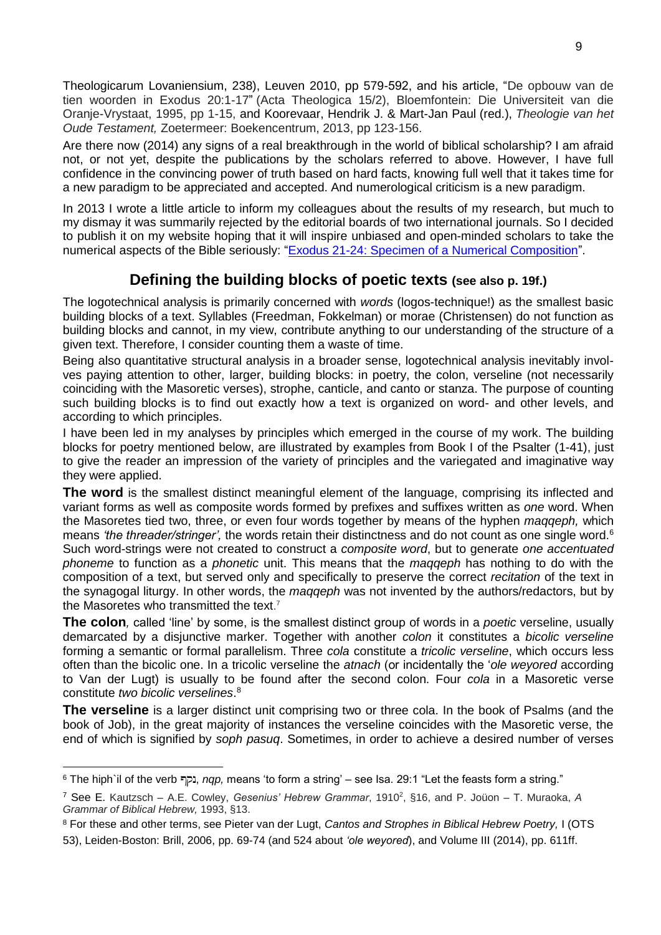Theologicarum Lovaniensium, 238), Leuven 2010, pp 579-592, and his article, "De opbouw van de tien woorden in Exodus 20:1-17" (Acta Theologica 15/2), Bloemfontein: Die Universiteit van die Oranje-Vrystaat, 1995, pp 1-15, and Koorevaar, Hendrik J. & Mart-Jan Paul (red.), *Theologie van het Oude Testament,* Zoetermeer: Boekencentrum, 2013, pp 123-156.

Are there now (2014) any signs of a real breakthrough in the world of biblical scholarship? I am afraid not, or not yet, despite the publications by the scholars referred to above. However, I have full confidence in the convincing power of truth based on hard facts, knowing full well that it takes time for a new paradigm to be appreciated and accepted. And numerological criticism is a new paradigm.

In 2013 I wrote a little article to inform my colleagues about the results of my research, but much to my dismay it was summarily rejected by the editorial boards of two international journals. So I decided to publish it on my website hoping that it will inspire unbiased and open-minded scholars to take the numerical aspects of the Bible seriously: ["Exodus 21-24: Specimen of a Numerical Composition"](http://www.labuschagne.nl/Exodus21-24.pdf).

# **Defining the building blocks of poetic texts (see also p. 19f.)**

The logotechnical analysis is primarily concerned with *words* (logos-technique!) as the smallest basic building blocks of a text. Syllables (Freedman, Fokkelman) or morae (Christensen) do not function as building blocks and cannot, in my view, contribute anything to our understanding of the structure of a given text. Therefore, I consider counting them a waste of time.

Being also quantitative structural analysis in a broader sense, logotechnical analysis inevitably involves paying attention to other, larger, building blocks: in poetry, the colon, verseline (not necessarily coinciding with the Masoretic verses), strophe, canticle, and canto or stanza. The purpose of counting such building blocks is to find out exactly how a text is organized on word- and other levels, and according to which principles.

I have been led in my analyses by principles which emerged in the course of my work. The building blocks for poetry mentioned below, are illustrated by examples from Book I of the Psalter (1-41), just to give the reader an impression of the variety of principles and the variegated and imaginative way they were applied.

**The word** is the smallest distinct meaningful element of the language, comprising its inflected and variant forms as well as composite words formed by prefixes and suffixes written as *one* word. When the Masoretes tied two, three, or even four words together by means of the hyphen *maqqeph,* which means *'the threader/stringer',* the words retain their distinctness and do not count as one single word.<sup>6</sup> Such word-strings were not created to construct a *composite word*, but to generate *one accentuated phoneme* to function as a *phonetic* unit. This means that the *maqqeph* has nothing to do with the composition of a text, but served only and specifically to preserve the correct *recitation* of the text in the synagogal liturgy. In other words, the *maqqeph* was not invented by the authors/redactors, but by the Masoretes who transmitted the text. 7

**The colon***,* called 'line' by some, is the smallest distinct group of words in a *poetic* verseline, usually demarcated by a disjunctive marker. Together with another *colon* it constitutes a *bicolic verseline* forming a semantic or formal parallelism. Three *cola* constitute a *tricolic verseline*, which occurs less often than the bicolic one. In a tricolic verseline the *atnach* (or incidentally the '*ole weyored* according to Van der Lugt) is usually to be found after the second colon. Four *cola* in a Masoretic verse constitute *two bicolic verselines*. 8

**The verseline** is a larger distinct unit comprising two or three cola. In the book of Psalms (and the book of Job), in the great majority of instances the verseline coincides with the Masoretic verse, the end of which is signified by *soph pasuq*. Sometimes, in order to achieve a desired number of verses

-

<sup>6</sup> The hiph`il of the verb , *nqp,* means 'to form a string' – see Isa. 29:1 "Let the feasts form a string."

<sup>7</sup> See E. Kautzsch – A.E. Cowley, *Gesenius' Hebrew Grammar*, 1910<sup>2</sup> , §16, and P. Joüon – T. Muraoka, *A Grammar of Biblical Hebrew,* 1993, §13.

<sup>8</sup> For these and other terms, see Pieter van der Lugt, *Cantos and Strophes in Biblical Hebrew Poetry,* I (OTS 53), Leiden-Boston: Brill, 2006, pp. 69-74 (and 524 about *'ole weyored*), and Volume III (2014), pp. 611ff.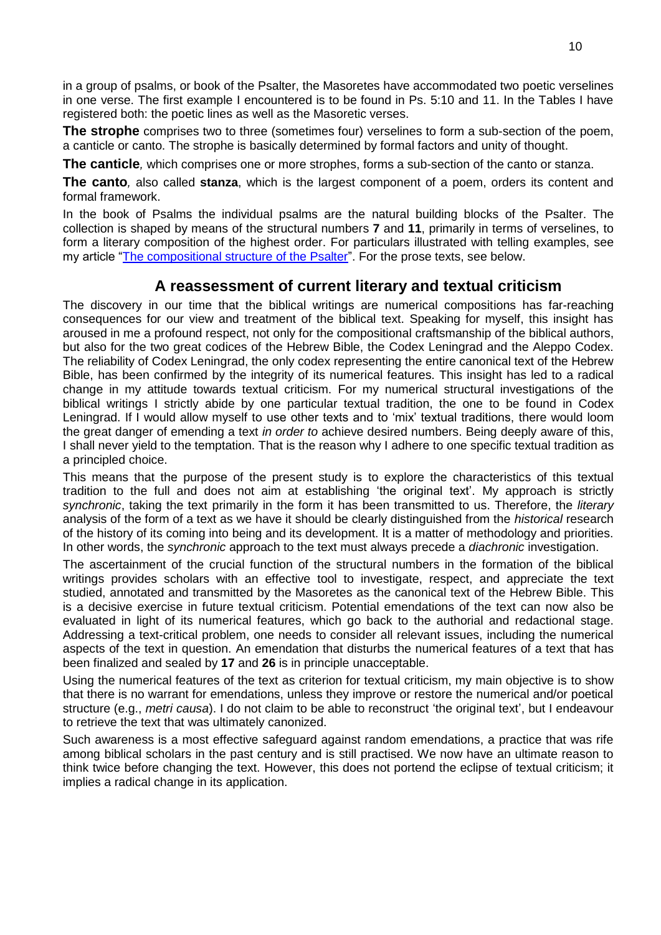in a group of psalms, or book of the Psalter, the Masoretes have accommodated two poetic verselines in one verse. The first example I encountered is to be found in Ps. 5:10 and 11. In the Tables I have registered both: the poetic lines as well as the Masoretic verses.

**The strophe** comprises two to three (sometimes four) verselines to form a sub-section of the poem, a canticle or canto. The strophe is basically determined by formal factors and unity of thought.

**The canticle***,* which comprises one or more strophes, forms a sub-section of the canto or stanza.

**The canto***,* also called **stanza**, which is the largest component of a poem, orders its content and formal framework.

In the book of Psalms the individual psalms are the natural building blocks of the Psalter. The collection is shaped by means of the structural numbers **7** and **11**, primarily in terms of verselines, to form a literary composition of the highest order. For particulars illustrated with telling examples, see my article ["The compositional structure of the Psalter"](http://www.labuschagne.nl/psalterstructure.pdf). For the prose texts, see below.

## **A reassessment of current literary and textual criticism**

The discovery in our time that the biblical writings are numerical compositions has far-reaching consequences for our view and treatment of the biblical text. Speaking for myself, this insight has aroused in me a profound respect, not only for the compositional craftsmanship of the biblical authors, but also for the two great codices of the Hebrew Bible, the Codex Leningrad and the Aleppo Codex. The reliability of Codex Leningrad, the only codex representing the entire canonical text of the Hebrew Bible, has been confirmed by the integrity of its numerical features. This insight has led to a radical change in my attitude towards textual criticism. For my numerical structural investigations of the biblical writings I strictly abide by one particular textual tradition, the one to be found in Codex Leningrad. If I would allow myself to use other texts and to 'mix' textual traditions, there would loom the great danger of emending a text *in order to* achieve desired numbers. Being deeply aware of this, I shall never yield to the temptation. That is the reason why I adhere to one specific textual tradition as a principled choice.

This means that the purpose of the present study is to explore the characteristics of this textual tradition to the full and does not aim at establishing 'the original text'. My approach is strictly *synchronic*, taking the text primarily in the form it has been transmitted to us. Therefore, the *literary* analysis of the form of a text as we have it should be clearly distinguished from the *historical* research of the history of its coming into being and its development. It is a matter of methodology and priorities. In other words, the *synchronic* approach to the text must always precede a *diachronic* investigation.

The ascertainment of the crucial function of the structural numbers in the formation of the biblical writings provides scholars with an effective tool to investigate, respect, and appreciate the text studied, annotated and transmitted by the Masoretes as the canonical text of the Hebrew Bible. This is a decisive exercise in future textual criticism. Potential emendations of the text can now also be evaluated in light of its numerical features, which go back to the authorial and redactional stage. Addressing a text-critical problem, one needs to consider all relevant issues, including the numerical aspects of the text in question. An emendation that disturbs the numerical features of a text that has been finalized and sealed by **17** and **26** is in principle unacceptable.

Using the numerical features of the text as criterion for textual criticism, my main objective is to show that there is no warrant for emendations, unless they improve or restore the numerical and/or poetical structure (e.g., *metri causa*). I do not claim to be able to reconstruct 'the original text', but I endeavour to retrieve the text that was ultimately canonized.

Such awareness is a most effective safeguard against random emendations, a practice that was rife among biblical scholars in the past century and is still practised. We now have an ultimate reason to think twice before changing the text. However, this does not portend the eclipse of textual criticism; it implies a radical change in its application.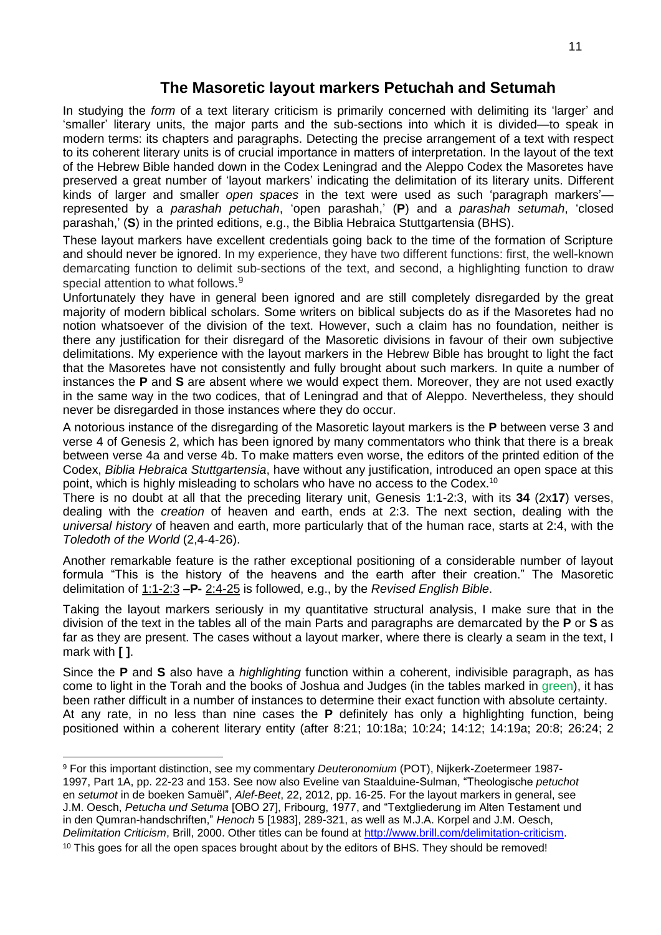#### **The Masoretic layout markers Petuchah and Setumah**

In studying the *form* of a text literary criticism is primarily concerned with delimiting its 'larger' and 'smaller' literary units, the major parts and the sub-sections into which it is divided—to speak in modern terms: its chapters and paragraphs. Detecting the precise arrangement of a text with respect to its coherent literary units is of crucial importance in matters of interpretation. In the layout of the text of the Hebrew Bible handed down in the Codex Leningrad and the Aleppo Codex the Masoretes have preserved a great number of 'layout markers' indicating the delimitation of its literary units. Different kinds of larger and smaller *open spaces* in the text were used as such 'paragraph markers' represented by a *parashah petuchah*, 'open parashah,' (**P**) and a *parashah setumah*, 'closed parashah,' (**S**) in the printed editions, e.g., the Biblia Hebraica Stuttgartensia (BHS).

These layout markers have excellent credentials going back to the time of the formation of Scripture and should never be ignored. In my experience, they have two different functions: first, the well-known demarcating function to delimit sub-sections of the text, and second, a highlighting function to draw special attention to what follows.<sup>9</sup>

Unfortunately they have in general been ignored and are still completely disregarded by the great majority of modern biblical scholars. Some writers on biblical subjects do as if the Masoretes had no notion whatsoever of the division of the text. However, such a claim has no foundation, neither is there any justification for their disregard of the Masoretic divisions in favour of their own subjective delimitations. My experience with the layout markers in the Hebrew Bible has brought to light the fact that the Masoretes have not consistently and fully brought about such markers. In quite a number of instances the **P** and **S** are absent where we would expect them. Moreover, they are not used exactly in the same way in the two codices, that of Leningrad and that of Aleppo. Nevertheless, they should never be disregarded in those instances where they do occur.

A notorious instance of the disregarding of the Masoretic layout markers is the **P** between verse 3 and verse 4 of Genesis 2, which has been ignored by many commentators who think that there is a break between verse 4a and verse 4b. To make matters even worse, the editors of the printed edition of the Codex, *Biblia Hebraica Stuttgartensia*, have without any justification, introduced an open space at this point, which is highly misleading to scholars who have no access to the Codex.<sup>10</sup>

There is no doubt at all that the preceding literary unit, Genesis 1:1-2:3, with its **34** (2x**17**) verses, dealing with the *creation* of heaven and earth, ends at 2:3. The next section, dealing with the *universal history* of heaven and earth, more particularly that of the human race, starts at 2:4, with the *Toledoth of the World* (2,4-4-26).

Another remarkable feature is the rather exceptional positioning of a considerable number of layout formula "This is the history of the heavens and the earth after their creation." The Masoretic delimitation of 1:1-2:3 **–P-** 2:4-25 is followed, e.g., by the *Revised English Bible*.

Taking the layout markers seriously in my quantitative structural analysis, I make sure that in the division of the text in the tables all of the main Parts and paragraphs are demarcated by the **P** or **S** as far as they are present. The cases without a layout marker, where there is clearly a seam in the text, I mark with **[ ]**.

Since the **P** and **S** also have a *highlighting* function within a coherent, indivisible paragraph, as has come to light in the Torah and the books of Joshua and Judges (in the tables marked in green), it has been rather difficult in a number of instances to determine their exact function with absolute certainty. At any rate, in no less than nine cases the **P** definitely has only a highlighting function, being positioned within a coherent literary entity (after 8:21; 10:18a; 10:24; 14:12; 14:19a; 20:8; 26:24; 2

-

<sup>9</sup> For this important distinction, see my commentary *Deuteronomium* (POT), Nijkerk-Zoetermeer 1987- 1997, Part 1A, pp. 22-23 and 153. See now also Eveline van Staalduine-Sulman, "Theologische *petuchot* en *setumot* in de boeken Samuël", *Alef-Beet*, 22, 2012, pp. 16-25. For the layout markers in general, see J.M. Oesch, *Petucha und Setuma* [OBO 27], Fribourg, 1977, and "Textgliederung im Alten Testament und in den Qumran-handschriften," *Henoch* 5 [1983], 289-321, as well as M.J.A. Korpel and J.M. Oesch, *Delimitation Criticism*, Brill, 2000. Other titles can be found at [http://www.brill.com/delimitation-criticism.](http://www.brill.com/delimitation-criticism)

<sup>&</sup>lt;sup>10</sup> This goes for all the open spaces brought about by the editors of BHS. They should be removed!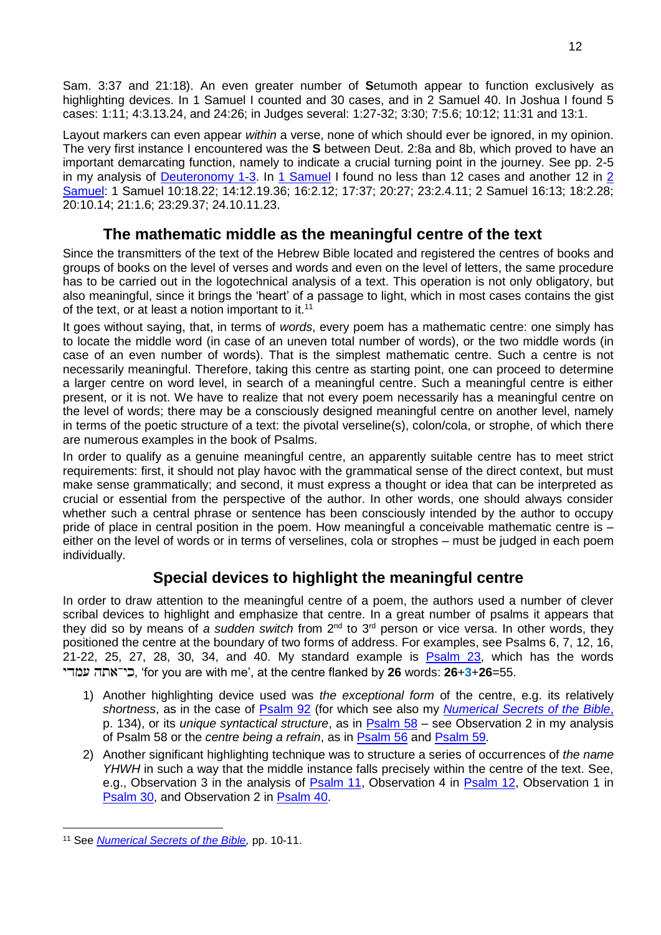Sam. 3:37 and 21:18). An even greater number of **S**etumoth appear to function exclusively as highlighting devices. In 1 Samuel I counted and 30 cases, and in 2 Samuel 40. In Joshua I found 5 cases: 1:11; 4:3.13.24, and 24:26; in Judges several: 1:27-32; 3:30; 7:5.6; 10:12; 11:31 and 13:1.

Layout markers can even appear *within* a verse, none of which should ever be ignored, in my opinion. The very first instance I encountered was the **S** between Deut. 2:8a and 8b, which proved to have an important demarcating function, namely to indicate a crucial turning point in the journey. See pp. 2-5 in my analysis of [Deuteronomy 1-3.](http://www.labuschagne.nl/deut/1deut1-3.pdf) In [1 Samuel](http://www.labuschagne.nl/joshua-kings/1Sam1-31.pdf) I found no less than 12 cases and another 12 in [2](http://www.labuschagne.nl/joshua-kings/2Sam1-24.pdf)  [Samuel:](http://www.labuschagne.nl/joshua-kings/2Sam1-24.pdf) 1 Samuel 10:18.22; 14:12.19.36; 16:2.12; 17:37; 20:27; 23:2.4.11; 2 Samuel 16:13; 18:2.28; 20:10.14; 21:1.6; 23:29.37; 24.10.11.23.

# **The mathematic middle as the meaningful centre of the text**

Since the transmitters of the text of the Hebrew Bible located and registered the centres of books and groups of books on the level of verses and words and even on the level of letters, the same procedure has to be carried out in the logotechnical analysis of a text. This operation is not only obligatory, but also meaningful, since it brings the 'heart' of a passage to light, which in most cases contains the gist of the text, or at least a notion important to it.<sup>11</sup>

It goes without saying, that, in terms of *words*, every poem has a mathematic centre: one simply has to locate the middle word (in case of an uneven total number of words), or the two middle words (in case of an even number of words). That is the simplest mathematic centre. Such a centre is not necessarily meaningful. Therefore, taking this centre as starting point, one can proceed to determine a larger centre on word level, in search of a meaningful centre. Such a meaningful centre is either present, or it is not. We have to realize that not every poem necessarily has a meaningful centre on the level of words; there may be a consciously designed meaningful centre on another level, namely in terms of the poetic structure of a text: the pivotal verseline(s), colon/cola, or strophe, of which there are numerous examples in the book of Psalms.

In order to qualify as a genuine meaningful centre, an apparently suitable centre has to meet strict requirements: first, it should not play havoc with the grammatical sense of the direct context, but must make sense grammatically; and second, it must express a thought or idea that can be interpreted as crucial or essential from the perspective of the author. In other words, one should always consider whether such a central phrase or sentence has been consciously intended by the author to occupy pride of place in central position in the poem. How meaningful a conceivable mathematic centre is – either on the level of words or in terms of verselines, cola or strophes – must be judged in each poem individually.

# **Special devices to highlight the meaningful centre**

In order to draw attention to the meaningful centre of a poem, the authors used a number of clever scribal devices to highlight and emphasize that centre. In a great number of psalms it appears that they did so by means of a sudden switch from 2<sup>nd</sup> to 3<sup>rd</sup> person or vice versa. In other words, they positioned the centre at the boundary of two forms of address. For examples, see Psalms 6, 7, 12, 16, 21-22, 25, 27, 28, 30, 34, and 40. My standard example is [Psalm 23,](http://www.labuschagne.nl/ps023.pdf) which has the words , 'for you are with me', at the centre flanked by **26** words: **26**+**3**+**26**=55.

- 1) Another highlighting device used was *the exceptional form* of the centre, e.g. its relatively *shortness*, as in the case of [Psalm 92](http://www.labuschagne.nl/ps092.pdf) (for which see also my *[Numerical Secrets of the Bible](http://www.labuschagne.nl/z%26oz/book.htm)*, p. 134), or its *unique syntactical structure*, as in [Psalm 58](http://www.labuschagne.nl/ps058.pdf) – see Observation 2 in my analysis of Psalm 58 or the *centre being a refrain*, as in [Psalm 56](http://www.labuschagne.nl/ps056.pdf) and [Psalm 59.](http://www.labuschagne.nl/ps059.pdf)
- 2) Another significant highlighting technique was to structure a series of occurrences of *the name YHWH* in such a way that the middle instance falls precisely within the centre of the text. See, e.g., Observation 3 in the analysis of [Psalm 11,](http://www.labuschagne.nl/ps011.pdf) Observation 4 in [Psalm 12,](http://www.labuschagne.nl/ps012.pdf) Observation 1 in [Psalm 30,](http://www.labuschagne.nl/ps030.pdf) and Observation 2 in [Psalm 40.](http://www.labuschagne.nl/ps040.pdf)

<sup>-</sup><sup>11</sup> See *[Numerical Secrets of the Bible,](http://www.labuschagne.nl/z%26oz/book.htm)* pp. 10-11.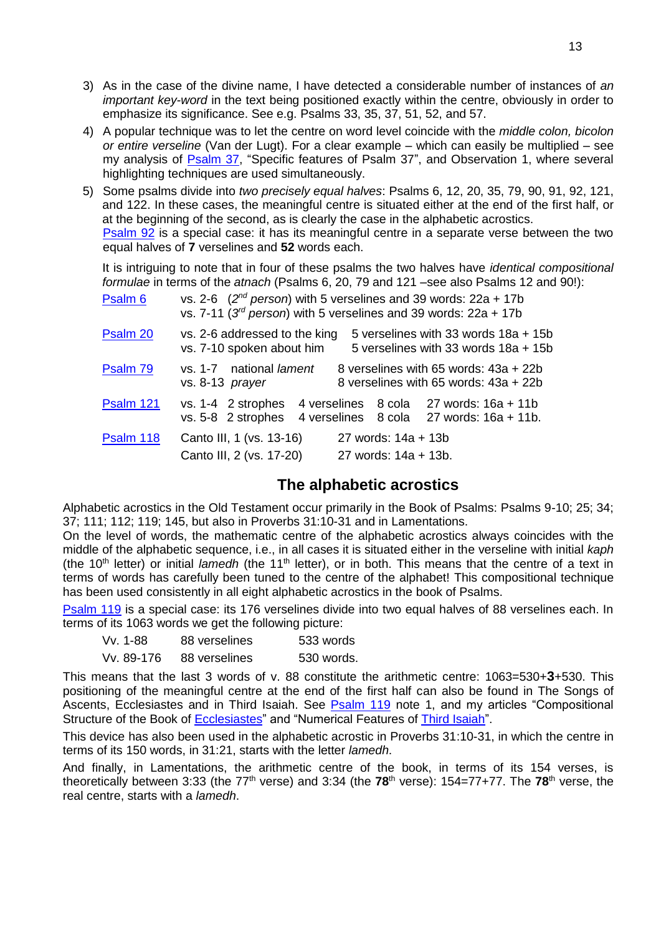- 3) As in the case of the divine name, I have detected a considerable number of instances of *an important key-word* in the text being positioned exactly within the centre, obviously in order to emphasize its significance. See e.g. Psalms 33, 35, 37, 51, 52, and 57.
- 4) A popular technique was to let the centre on word level coincide with the *middle colon, bicolon or entire verseline* (Van der Lugt). For a clear example – which can easily be multiplied – see my analysis of **Psalm 37**, "Specific features of Psalm 37", and Observation 1, where several highlighting techniques are used simultaneously.
- 5) Some psalms divide into *two precisely equal halves*: Psalms 6, 12, 20, 35, 79, 90, 91, 92, 121, and 122. In these cases, the meaningful centre is situated either at the end of the first half, or at the beginning of the second, as is clearly the case in the alphabetic acrostics. [Psalm 92](http://www.labuschagne.nl/ps118.pdf) is a special case: it has its meaningful centre in a separate verse between the two equal halves of **7** verselines and **52** words each.

It is intriguing to note that in four of these psalms the two halves have *identical compositional formulae* in terms of the *atnach* (Psalms 6, 20, 79 and 121 –see also Psalms 12 and 90!):

| Psalm <sub>6</sub> | vs. 2-6 $(2^{nd}$ person) with 5 verselines and 39 words: 22a + 17b<br>vs. 7-11 ( $3^{rd}$ person) with 5 verselines and 39 words: 22a + 17b |                                             |                                                                                     |
|--------------------|----------------------------------------------------------------------------------------------------------------------------------------------|---------------------------------------------|-------------------------------------------------------------------------------------|
| Psalm 20           | vs. 2-6 addressed to the king<br>vs. 7-10 spoken about him                                                                                   |                                             | 5 verselines with 33 words 18a + 15b<br>5 verselines with 33 words 18a + 15b        |
| Psalm 79           | vs. 1-7 national lament<br>vs. 8-13 prayer                                                                                                   |                                             | 8 verselines with 65 words: 43a + 22b<br>8 verselines with 65 words: 43a + 22b      |
| Psalm 121          | vs. 1-4 2 strophes<br>vs. 5-8 2 strophes                                                                                                     |                                             | 4 verselines 8 cola 27 words: 16a + 11b<br>4 verselines 8 cola 27 words: 16a + 11b. |
| Psalm 118          | Canto III, 1 (vs. 13-16)<br>Canto III, 2 (vs. 17-20)                                                                                         | 27 words: 14a + 13b<br>27 words: 14a + 13b. |                                                                                     |

#### **The alphabetic acrostics**

Alphabetic acrostics in the Old Testament occur primarily in the Book of Psalms: Psalms 9-10; 25; 34; 37; 111; 112; 119; 145, but also in Proverbs 31:10-31 and in Lamentations.

On the level of words, the mathematic centre of the alphabetic acrostics always coincides with the middle of the alphabetic sequence, i.e., in all cases it is situated either in the verseline with initial *kaph* (the 10<sup>th</sup> letter) or initial *lamedh* (the 11<sup>th</sup> letter), or in both. This means that the centre of a text in terms of words has carefully been tuned to the centre of the alphabet! This compositional technique has been used consistently in all eight alphabetic acrostics in the book of Psalms.

[Psalm 119](http://www.labuschagne.nl/ps119.pdf) is a special case: its 176 verselines divide into two equal halves of 88 verselines each. In terms of its 1063 words we get the following picture:

| Vv. 1-88   | 88 verselines | 533 words  |
|------------|---------------|------------|
| Vv. 89-176 | 88 verselines | 530 words. |

This means that the last 3 words of v. 88 constitute the arithmetic centre: 1063=530+**3**+530. This positioning of the meaningful centre at the end of the first half can also be found in The Songs of Ascents, Ecclesiastes and in Third Isaiah. See **Psalm 119** note 1, and my articles "Compositional Structure of the Book of [Ecclesiastes"](http://www.labuschagne.nl/17.ecclesiastes.structure.pdf) and "Numerical Features of [Third Isaiah"](http://www.labuschagne.nl/16.third-isaiah.pdf).

This device has also been used in the alphabetic acrostic in Proverbs 31:10-31, in which the centre in terms of its 150 words, in 31:21, starts with the letter *lamedh*.

And finally, in Lamentations, the arithmetic centre of the book, in terms of its 154 verses, is theoretically between 3:33 (the 77th verse) and 3:34 (the **78**th verse): 154=77+77. The **78**th verse, the real centre, starts with a *lamedh*.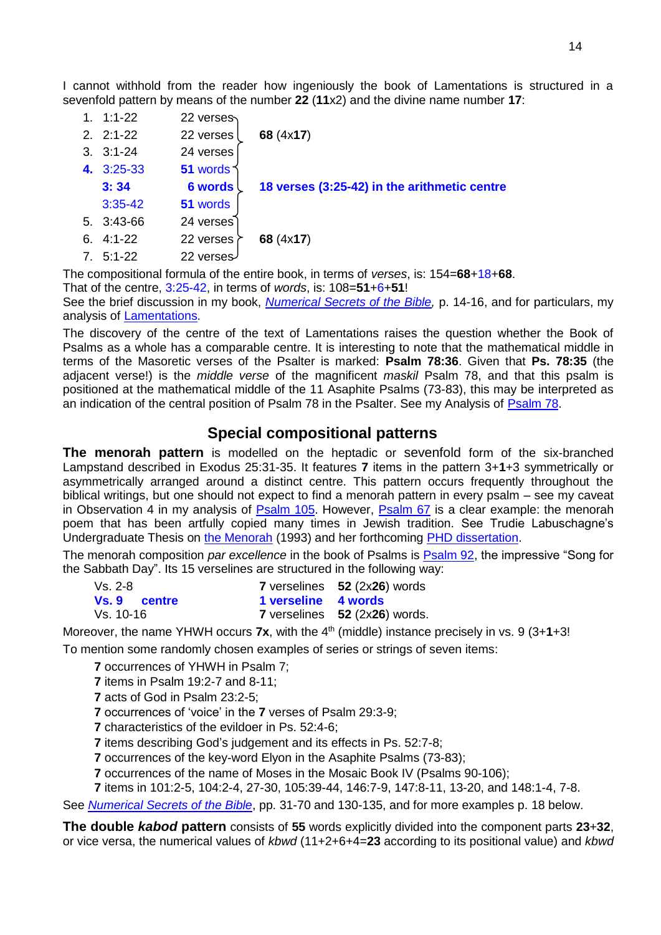I cannot withhold from the reader how ingeniously the book of Lamentations is structured in a sevenfold pattern by means of the number **22** (**11**x2) and the divine name number **17**:

| 1. | $1:1 - 22$  | 22 verses      |                                              |
|----|-------------|----------------|----------------------------------------------|
|    | $2.21 - 22$ | 22 verses      | 68 (4x17)                                    |
|    | $3.3:1-24$  | 24 verses      |                                              |
|    | 4. 3:25-33  | 51 words       |                                              |
|    | 3:34        | <b>6 words</b> | 18 verses (3:25-42) in the arithmetic centre |
|    | $3:35-42$   | 51 words       |                                              |
| 5. | 3:43-66     | 24 verses      |                                              |
| 6. | $4:1 - 22$  | 22 verses      | 68 (4x17)                                    |
| 7. | $5:1 - 22$  | 22 verses      |                                              |

The compositional formula of the entire book, in terms of *verses*, is: 154=**68**+18+**68**.

That of the centre, 3:25-42, in terms of *words*, is: 108=**51**+6+**51**!

See the brief discussion in my book, *[Numerical Secrets of the Bible,](http://www.labuschagne.nl/z%26oz/book.htm)* p. 14-16, and for particulars, my analysis of [Lamentations.](http://www.labuschagne.nl/7.lament.pdf)

The discovery of the centre of the text of Lamentations raises the question whether the Book of Psalms as a whole has a comparable centre. It is interesting to note that the mathematical middle in terms of the Masoretic verses of the Psalter is marked: **Psalm 78:36**. Given that **Ps. 78:35** (the adjacent verse!) is the *middle verse* of the magnificent *maskil* Psalm 78, and that this psalm is positioned at the mathematical middle of the 11 Asaphite Psalms (73-83), this may be interpreted as an indication of the central position of Psalm 78 in the Psalter. See my Analysis of [Psalm 78.](http://www.labuschagne.nl/ps078.pdf)

## **Special compositional patterns**

**The menorah pattern** is modelled on the heptadic or sevenfold form of the six-branched Lampstand described in Exodus 25:31-35. It features **7** items in the pattern 3+**1**+3 symmetrically or asymmetrically arranged around a distinct centre. This pattern occurs frequently throughout the biblical writings, but one should not expect to find a menorah pattern in every psalm – see my caveat in Observation 4 in my analysis of [Psalm 105.](http://www.labuschagne.nl/ps105.pdf) However, [Psalm 67](http://www.labuschagne.nl/ps067.pdf) is a clear example: the menorah poem that has been artfully copied many times in Jewish tradition. See Trudie Labuschagne's Undergraduate Thesis on [the Menorah](http://www.labuschagne.nl/trudie/summary.pdf) (1993) and her forthcoming [PHD dissertation.](http://www.labuschagne.nl/trudie/menora.htm)

The menorah composition *par excellence* in the book of Psalms is [Psalm 92,](http://www.labuschagne.nl/ps092.pdf) the impressive "Song for the Sabbath Day". Its 15 verselines are structured in the following way:

| Vs. 2-8             |                     | 7 verselines 52 (2x26) words  |
|---------------------|---------------------|-------------------------------|
| <b>Vs. 9 centre</b> | 1 verseline 4 words |                               |
| Vs. 10-16           |                     | 7 verselines 52 (2x26) words. |

Moreover, the name YHWH occurs **7x**, with the 4<sup>th</sup> (middle) instance precisely in vs. 9 (3+1+3!

To mention some randomly chosen examples of series or strings of seven items:

**7** occurrences of YHWH in Psalm 7;

**7** items in Psalm 19:2-7 and 8-11;

**7** acts of God in Psalm 23:2-5;

**7** occurrences of 'voice' in the **7** verses of Psalm 29:3-9;

**7** characteristics of the evildoer in Ps. 52:4-6;

**7** items describing God's judgement and its effects in Ps. 52:7-8;

**7** occurrences of the key-word Elyon in the Asaphite Psalms (73-83);

**7** occurrences of the name of Moses in the Mosaic Book IV (Psalms 90-106);

**7** items in 101:2-5, 104:2-4, 27-30, 105:39-44, 146:7-9, 147:8-11, 13-20, and 148:1-4, 7-8.

See *[Numerical Secrets of the Bible](http://www.labuschagne.nl/z%26oz/book.htm)*, pp. 31-70 and 130-135, and for more examples p. 18 below.

**The double** *kabod* **pattern** consists of **55** words explicitly divided into the component parts **23**+**32**, or vice versa, the numerical values of *kbwd* (11+2+6+4=**23** according to its positional value) and *kbwd*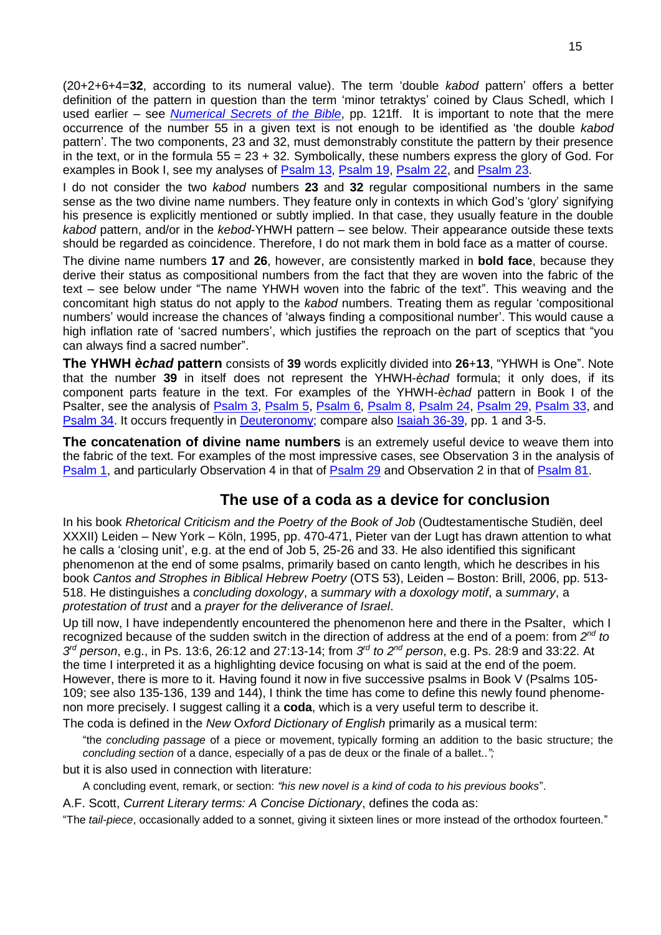(20+2+6+4=**32**, according to its numeral value). The term 'double *kabod* pattern' offers a better definition of the pattern in question than the term 'minor tetraktys' coined by Claus Schedl, which I used earlier – see *[Numerical Secrets of the Bible](http://www.labuschagne.nl/z%26oz/book.htm)*, pp. 121ff. It is important to note that the mere occurrence of the number 55 in a given text is not enough to be identified as 'the double *kabod* pattern'. The two components, 23 and 32, must demonstrably constitute the pattern by their presence in the text, or in the formula  $55 = 23 + 32$ . Symbolically, these numbers express the glory of God. For examples in Book I, see my analyses of [Psalm 13,](http://www.labuschagne.nl/ps013.pdf) [Psalm 19,](http://www.labuschagne.nl/ps019.pdf) [Psalm 22,](http://www.labuschagne.nl/ps022.pdf) and [Psalm 23.](http://www.labuschagne.nl/ps023.pdf)

I do not consider the two *kabod* numbers **23** and **32** regular compositional numbers in the same sense as the two divine name numbers. They feature only in contexts in which God's 'glory' signifying his presence is explicitly mentioned or subtly implied. In that case, they usually feature in the double *kabod* pattern, and/or in the *kebod*-YHWH pattern – see below. Their appearance outside these texts should be regarded as coincidence. Therefore, I do not mark them in bold face as a matter of course.

The divine name numbers **17** and **26**, however, are consistently marked in **bold face**, because they derive their status as compositional numbers from the fact that they are woven into the fabric of the text – see below under "The name YHWH woven into the fabric of the text". This weaving and the concomitant high status do not apply to the *kabod* numbers. Treating them as regular 'compositional numbers' would increase the chances of 'always finding a compositional number'. This would cause a high inflation rate of 'sacred numbers', which justifies the reproach on the part of sceptics that "you can always find a sacred number".

**The YHWH** *èchad* **pattern** consists of **39** words explicitly divided into **26**+**13**, "YHWH is One". Note that the number **39** in itself does not represent the YHWH-*èchad* formula; it only does, if its component parts feature in the text. For examples of the YHWH-*èchad* pattern in Book I of the Psalter, see the analysis of [Psalm](http://www.labuschagne.nl/ps003.pdf) 3, [Psalm 5,](http://www.labuschagne.nl/ps005.pdf) [Psalm 6,](http://www.labuschagne.nl/ps006.pdf) [Psalm 8,](http://www.labuschagne.nl/ps008.pdf) [Psalm 24,](http://www.labuschagne.nl/ps024.pdf) [Psalm 29,](http://www.labuschagne.nl/ps029.pdf) [Psalm 33,](http://www.labuschagne.nl/ps033.pdf) and [Psalm 34.](http://www.labuschagne.nl/ps034.pdf) It occurs frequently in [Deuteronomy;](http://www.labuschagne.nl/deut.htm) compare also [Isaiah 36-39,](http://www.labuschagne.nl/joshua-kings/Isaiah36-39.pdf) pp. 1 and 3-5.

**The concatenation of divine name numbers** is an extremely useful device to weave them into the fabric of the text. For examples of the most impressive cases, see Observation 3 in the analysis of [Psalm 1,](http://www.labuschagne.nl/ps001.pdf) and particularly Observation 4 in that of [Psalm 29](http://www.labuschagne.nl/ps029.pdf) and Observation 2 in that of [Psalm 81.](http://www.labuschagne.nl/ps081.pdf)

# **The use of a coda as a device for conclusion**

In his book *Rhetorical Criticism and the Poetry of the Book of Job* (Oudtestamentische Studiën, deel XXXII) Leiden – New York – Köln, 1995, pp. 470-471, Pieter van der Lugt has drawn attention to what he calls a 'closing unit', e.g. at the end of Job 5, 25-26 and 33. He also identified this significant phenomenon at the end of some psalms, primarily based on canto length, which he describes in his book *Cantos and Strophes in Biblical Hebrew Poetry* (OTS 53), Leiden – Boston: Brill, 2006, pp. 513- 518. He distinguishes a *concluding doxology*, a *summary with a doxology motif*, a *summary*, a *protestation of trust* and a *prayer for the deliverance of Israel*.

Up till now, I have independently encountered the phenomenon here and there in the Psalter, which I recognized because of the sudden switch in the direction of address at the end of a poem: from 2<sup>nd</sup> to *3 rd person*, e.g., in Ps. 13:6, 26:12 and 27:13-14; from *3 rd to 2nd person*, e.g. Ps. 28:9 and 33:22. At the time I interpreted it as a highlighting device focusing on what is said at the end of the poem. However, there is more to it. Having found it now in five successive psalms in Book V (Psalms 105- 109; see also 135-136, 139 and 144), I think the time has come to define this newly found phenomenon more precisely. I suggest calling it a **coda**, which is a very useful term to describe it.

The coda is defined in the *New* O*xford Dictionary of English* primarily as a musical term:

"the *concluding passage* of a piece or movement, typically forming an addition to the basic structure; the *concluding section* of a dance, especially of a pas de deux or the finale of a ballet..*";*

but it is also used in connection with literature:

A concluding event, remark, or section: *"his new novel is a kind of coda to his previous books*".

A.F. Scott, *Current Literary terms: A Concise Dictionary*, defines the coda as:

"The *tail-piece*, occasionally added to a sonnet, giving it sixteen lines or more instead of the orthodox fourteen."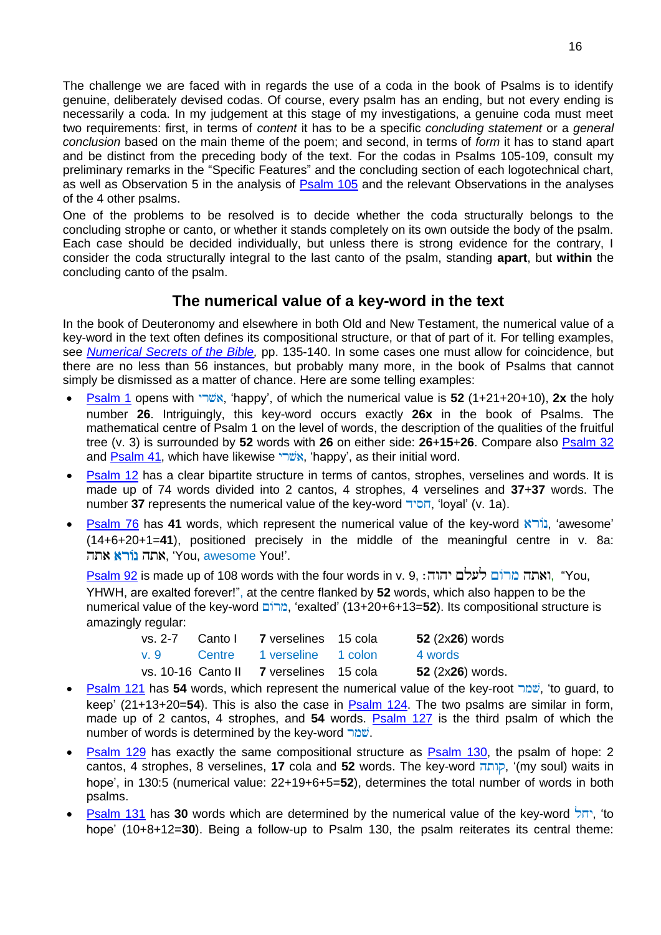The challenge we are faced with in regards the use of a coda in the book of Psalms is to identify genuine, deliberately devised codas. Of course, every psalm has an ending, but not every ending is necessarily a coda. In my judgement at this stage of my investigations, a genuine coda must meet two requirements: first, in terms of *content* it has to be a specific *concluding statement* or a *general conclusion* based on the main theme of the poem; and second, in terms of *form* it has to stand apart and be distinct from the preceding body of the text. For the codas in Psalms 105-109, consult my preliminary remarks in the "Specific Features" and the concluding section of each logotechnical chart, as well as Observation 5 in the analysis of [Psalm 105](http://www.labuschagne.nl/ps105.pdf) and the relevant Observations in the analyses of the 4 other psalms.

One of the problems to be resolved is to decide whether the coda structurally belongs to the concluding strophe or canto, or whether it stands completely on its own outside the body of the psalm. Each case should be decided individually, but unless there is strong evidence for the contrary, I consider the coda structurally integral to the last canto of the psalm, standing **apart**, but **within** the concluding canto of the psalm.

# **The numerical value of a key-word in the text**

In the book of Deuteronomy and elsewhere in both Old and New Testament, the numerical value of a key-word in the text often defines its compositional structure, or that of part of it. For telling examples, see *[Numerical Secrets of the Bible,](http://www.labuschagne.nl/z%26oz/book.htm)* pp. 135-140. In some cases one must allow for coincidence, but there are no less than 56 instances, but probably many more, in the book of Psalms that cannot simply be dismissed as a matter of chance. Here are some telling examples:

- [Psalm 1](http://www.labuschagne.nl/ps001.pdf) opens with , 'happy', of which the numerical value is **52** (1+21+20+10), **2x** the holy number **26**. Intriguingly, this key-word occurs exactly **26x** in the book of Psalms. The mathematical centre of Psalm 1 on the level of words, the description of the qualities of the fruitful tree (v. 3) is surrounded by **52** words with **26** on either side: **26**+**15**+**26**. Compare also [Psalm 32](http://www.labuschagne.nl/ps032.pdf) and [Psalm 41,](http://www.labuschagne.nl/ps041.pdf) which have likewise , אשׁרי, 'happy', as their initial word.
- [Psalm 12](http://www.labuschagne.nl/ps012.pdf) has a clear bipartite structure in terms of cantos, strophes, verselines and words. It is made up of 74 words divided into 2 cantos, 4 strophes, 4 verselines and **37**+**37** words. The number **37** represents the numerical value of the key-word הסיד, 'loyal' (v. 1a).
- fram 76 has 41 words, which represent the numerical value of the key-word **N**<sub>1</sub>; 'awesome' (14+6+20+1=**41**), positioned precisely in the middle of the meaningful centre in v. 8a: אתה נורא אתה. 'You, awesome You!'.

[Psalm 92](http://www.labuschagne.nl/ps092.pdf) is made up of 108 words with the four words in v. 9, , "You, YHWH, are exalted forever!", at the centre flanked by **52** words, which also happen to be the numerical value of the key-word , 'exalted' (13+20+6+13=**52**). Its compositional structure is amazingly regular:

|     | vs. 2-7 Canto I 7 verselines 15 cola    | 52 (2x26) words  |
|-----|-----------------------------------------|------------------|
| v.9 | Centre 1 verseline 1 colon              | 4 words          |
|     | vs. 10-16 Canto II 7 verselines 15 cola | 52 (2x26) words. |

- [Psalm 121](http://www.labuschagne.nl/ps121.pdf) has **54** words, which represent the numerical value of the key-root , 'to guard, to keep' (21+13+20=**54**). This is also the case in [Psalm 124.](http://www.labuschagne.nl/ps124.pdf) The two psalms are similar in form, made up of 2 cantos, 4 strophes, and **54** words. [Psalm 127](http://www.labuschagne.nl/ps127.pdf) is the third psalm of which the number of words is determined by the key-word ...
- [Psalm 129](http://www.labuschagne.nl/ps129.pdf) has exactly the same compositional structure as [Psalm 130,](http://www.labuschagne.nl/ps130.pdf) the psalm of hope: 2 cantos, 4 strophes, 8 verselines, **17** cola and **52** words. The key-word <sub>ק</sub>ותה, '(my soul) waits in hope', in 130:5 (numerical value: 22+19+6+5=**52**), determines the total number of words in both psalms.
- [Psalm 131](http://www.labuschagne.nl/ps131.pdf) has **30** words which are determined by the numerical value of the key-word , 'to hope' (10+8+12=**30**). Being a follow-up to Psalm 130, the psalm reiterates its central theme: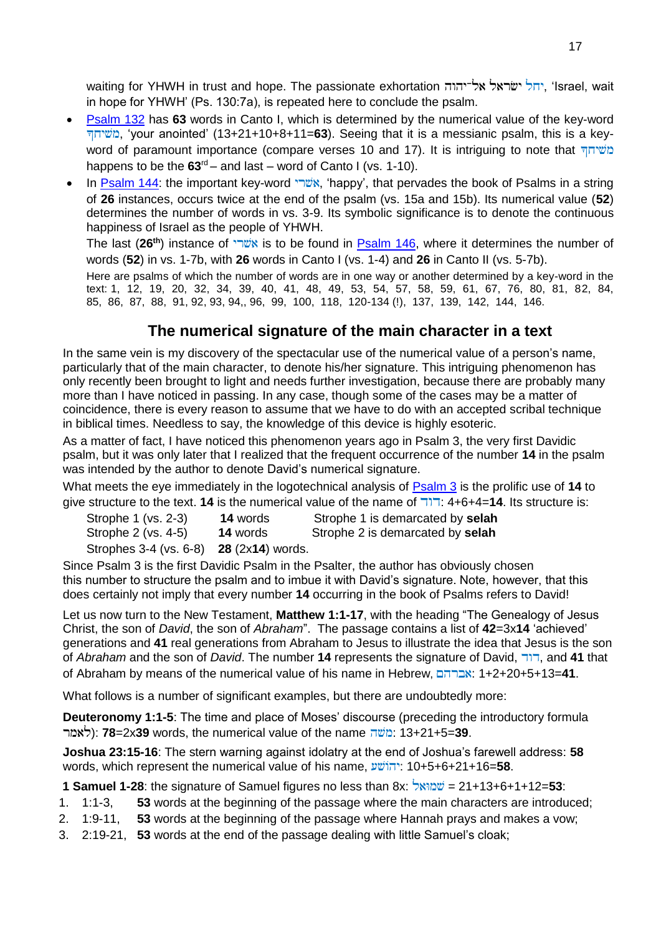waiting for YHWH in trust and hope. The passionate exhortation יחל ישראל אל־יהוה, 'Israel, wait in hope for YHWH' (Ps. 130:7a), is repeated here to conclude the psalm.

- [Psalm 132](http://www.labuschagne.nl/ps132.pdf) has **63** words in Canto I, which is determined by the numerical value of the key-word , 'your anointed' (13+21+10+8+11=**63**). Seeing that it is a messianic psalm, this is a keyword of paramount importance (compare verses 10 and 17). It is intriguing to note that happens to be the **63**rd – and last – word of Canto I (vs. 1-10).
- In [Psalm 144:](http://www.labuschagne.nl/ps144.pdf) the important key-word , 'happy', that pervades the book of Psalms in a string of **26** instances, occurs twice at the end of the psalm (vs. 15a and 15b). Its numerical value (**52**) determines the number of words in vs. 3-9. Its symbolic significance is to denote the continuous happiness of Israel as the people of YHWH.

The last (**26th**) instance of is to be found in [Psalm 146,](http://www.labuschagne.nl/ps146.pdf) where it determines the number of words (**52**) in vs. 1-7b, with **26** words in Canto I (vs. 1-4) and **26** in Canto II (vs. 5-7b).

Here are psalms of which the number of words are in one way or another determined by a key-word in the text: 1, 12, 19, 20, 32, 34, 39, 40, 41, 48, 49, 53, 54, 57, 58, 59, 61, 67, 76, 80, 81, 82, 84, 85, 86, 87, 88, 91, 92, 93, 94,, 96, 99, 100, 118, 120-134 (!), 137, 139, 142, 144, 146.

# **The numerical signature of the main character in a text**

In the same vein is my discovery of the spectacular use of the numerical value of a person's name, particularly that of the main character, to denote his/her signature. This intriguing phenomenon has only recently been brought to light and needs further investigation, because there are probably many more than I have noticed in passing. In any case, though some of the cases may be a matter of coincidence, there is every reason to assume that we have to do with an accepted scribal technique in biblical times. Needless to say, the knowledge of this device is highly esoteric.

As a matter of fact, I have noticed this phenomenon years ago in Psalm 3, the very first Davidic psalm, but it was only later that I realized that the frequent occurrence of the number **14** in the psalm was intended by the author to denote David's numerical signature.

What meets the eye immediately in the logotechnical analysis of [Psalm 3](http://www.labuschagne.nl/ps003.pdf) is the prolific use of **14** to give structure to the text. **14** is the numerical value of the name of : 4+6+4=**14**. Its structure is:

| Strophe 1 (vs. 2-3)                                     | <b>14</b> words | Strophe 1 is demarcated by selah |
|---------------------------------------------------------|-----------------|----------------------------------|
| Strophe 2 (vs. 4-5)                                     | <b>14</b> words | Strophe 2 is demarcated by selah |
| Strophes 3-4 (vs. 6-8) <b>28</b> (2x <b>14</b> ) words. |                 |                                  |

Since Psalm 3 is the first Davidic Psalm in the Psalter, the author has obviously chosen this number to structure the psalm and to imbue it with David's signature. Note, however, that this does certainly not imply that every number **14** occurring in the book of Psalms refers to David!

Let us now turn to the New Testament, **Matthew 1:1-17**, with the heading "The Genealogy of Jesus Christ, the son of *David*, the son of *Abraham*". The passage contains a list of **42**=3x**14** 'achieved' generations and **41** real generations from Abraham to Jesus to illustrate the idea that Jesus is the son of *Abraham* and the son of *David*. The number **14** represents the signature of David, , and **41** that of Abraham by means of the numerical value of his name in Hebrew, : 1+2+20+5+13=**41**.

What follows is a number of significant examples, but there are undoubtedly more:

**Deuteronomy 1:1-5**: The time and place of Moses' discourse (preceding the introductory formula ): **78**=2x**39** words, the numerical value of the name : 13+21+5=**39**.

**Joshua 23:15-16**: The stern warning against idolatry at the end of Joshua's farewell address: **58** words, which represent the numerical value of his name,  $\frac{1}{2}$ : 10+5+6+21+16=58.

**1 Samuel 1-28**: the signature of Samuel figures no less than 8x: *proversion* = 21+13+6+1+12=53:

- 1. 1:1-3, **53** words at the beginning of the passage where the main characters are introduced;
- 2. 1:9-11, **53** words at the beginning of the passage where Hannah prays and makes a vow;
- 3. 2:19-21, **53** words at the end of the passage dealing with little Samuel's cloak;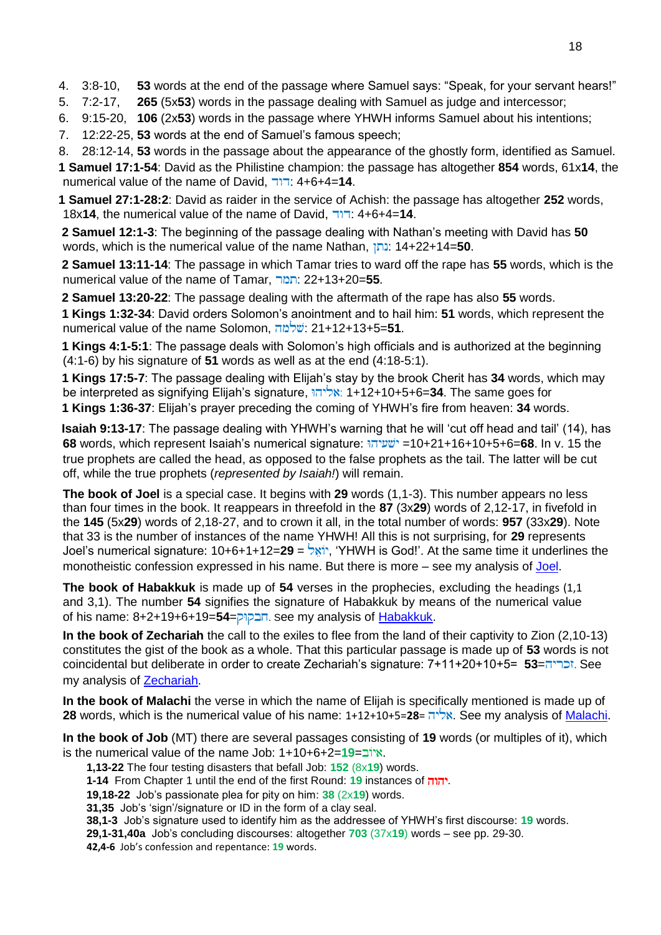4. 3:8-10, **53** words at the end of the passage where Samuel says: "Speak, for your servant hears!"

- 5. 7:2-17, **265** (5x**53**) words in the passage dealing with Samuel as judge and intercessor;
- 6. 9:15-20, **106** (2x**53**) words in the passage where YHWH informs Samuel about his intentions;

7. 12:22-25, **53** words at the end of Samuel's famous speech;

8. 28:12-14, **53** words in the passage about the appearance of the ghostly form, identified as Samuel. **1 Samuel 17:1-54**: David as the Philistine champion: the passage has altogether **854** words, 61x**14**, the numerical value of the name of David, : 4+6+4=**14**.

**1 Samuel 27:1-28:2**: David as raider in the service of Achish: the passage has altogether **252** words, 18x**14**, the numerical value of the name of David, : 4+6+4=**14**.

 **2 Samuel 12:1-3**: The beginning of the passage dealing with Nathan's meeting with David has **50** words, which is the numerical value of the name Nathan, : 14+22+14=**50**.

 **2 Samuel 13:11-14**: The passage in which Tamar tries to ward off the rape has **55** words, which is the numerical value of the name of Tamar, : 22+13+20=**55**.

 **2 Samuel 13:20-22**: The passage dealing with the aftermath of the rape has also **55** words.

 **1 Kings 1:32-34**: David orders Solomon's anointment and to hail him: **51** words, which represent the numerical value of the name Solomon, : 21+12+13+5=**51**.

 **1 Kings 4:1-5:1**: The passage deals with Solomon's high officials and is authorized at the beginning (4:1-6) by his signature of **51** words as well as at the end (4:18-5:1).

 **1 Kings 17:5-7**: The passage dealing with Elijah's stay by the brook Cherit has **34** words, which may be interpreted as signifying Elijah's signature, : 1+12+10+5+6=**34**. The same goes for  **1 Kings 1:36-37**: Elijah's prayer preceding the coming of YHWH's fire from heaven: **34** words.

 **Isaiah 9:13-17**: The passage dealing with YHWH's warning that he will 'cut off head and tail' (14), has **68** words, which represent Isaiah's numerical signature: =10+21+16+10+5+6=**68**. In v. 15 the true prophets are called the head, as opposed to the false prophets as the tail. The latter will be cut off, while the true prophets (*represented by Isaiah!*) will remain.

**The book of Joel** is a special case. It begins with **29** words (1,1-3). This number appears no less than four times in the book. It reappears in threefold in the **87** (3x**29**) words of 2,12-17, in fivefold in the **145** (5x**29**) words of 2,18-27, and to crown it all, in the total number of words: **957** (33x**29**). Note that 33 is the number of instances of the name YHWH! All this is not surprising, for **29** represents Joel's numerical signature: 10+6+1+12=**29** = , 'YHWH is God!'. At the same time it underlines the monotheistic confession expressed in his name. But there is more – see my analysis of [Joel.](http://www.labuschagne.nl/prophets/Joel.pdf)

**The book of Habakkuk** is made up of **54** verses in the prophecies, excluding the headings (1,1 and 3.1). The number **54** signifies the signature of Habakkuk by means of the numerical value of his name: 8+2+19+6+19=**54**=. See my analysis of [Habakkuk.](http://www.labuschagne.nl/prophets/Habakkuk.pdf)

**In the book of Zechariah** the call to the exiles to flee from the land of their captivity to Zion (2,10-13) constitutes the gist of the book as a whole. That this particular passage is made up of **53** words is not coincidental but deliberate in order to create Zechariah's signature: 7+11+20+10+5= **53**=. See my analysis of [Zechariah.](http://www.labuschagne.nl/prophets/Zechariah.pdf)

**In the book of Malachi** the verse in which the name of Elijah is specifically mentioned is made up of **28** words, which is the numerical value of his name: 1+12+10+5=**28**= . See my analysis of [Malachi.](http://www.labuschagne.nl/prophets/Malachi.pdf)

**In the book of Job** (MT) there are several passages consisting of **19** words (or multiples of it), which is the numerical value of the name Job: 1+10+6+2=**19**=.

- **1,13-22** The four testing disasters that befall Job: **152** (8x**19**) words.
- **1-14** From Chapter 1 until the end of the first Round: **19** instances of .
- **19,18-22** Job's passionate plea for pity on him: **38** (2x**19**) words.
- **31,35** Job's 'sign'/signature or ID in the form of a clay seal.
- **38,1-3** Job's signature used to identify him as the addressee of YHWH's first discourse: **19** words.

**29,1-31,40a** Job's concluding discourses: altogether **703** (37x**19**) words – see pp. 29-30.

**42,4-6** Job's confession and repentance: **19** words.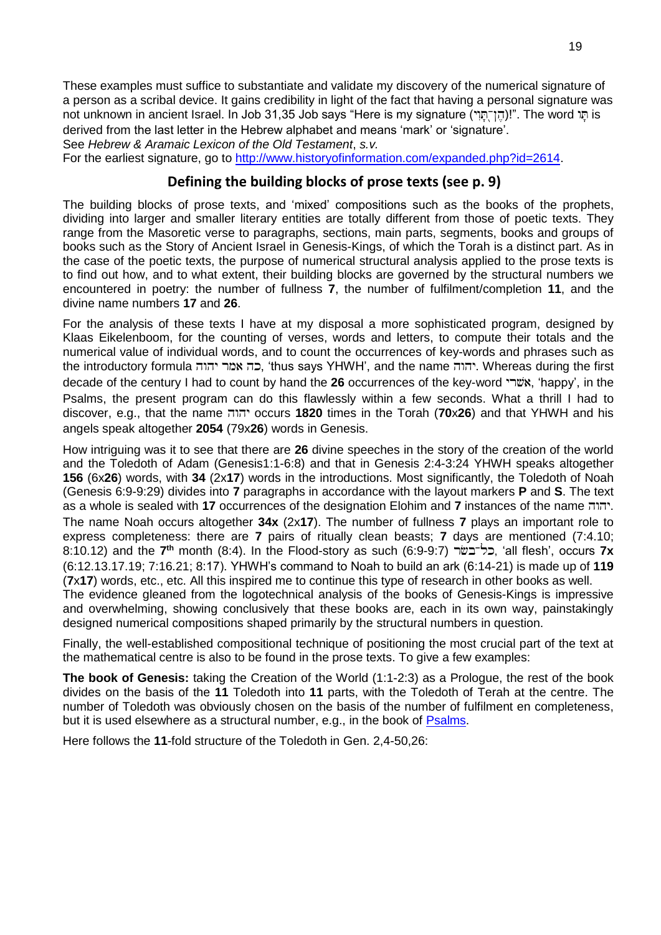These examples must suffice to substantiate and validate my discovery of the numerical signature of a person as a scribal device. It gains credibility in light of the fact that having a personal signature was not unknown in ancient Israel. In Job 31,35 Job says "Here is my signature ("הוֹרְתּוֹן". The word הַ

derived from the last letter in the Hebrew alphabet and means 'mark' or 'signature'.

See *Hebrew & Aramaic Lexicon of the Old Testament*, *s.v.*

For the earliest signature, go to [http://www.historyofinformation.com/expanded.php?id=2614.](http://www.historyofinformation.com/expanded.php?id=2614)

#### **Defining the building blocks of prose texts (see p. 9)**

The building blocks of prose texts, and 'mixed' compositions such as the books of the prophets, dividing into larger and smaller literary entities are totally different from those of poetic texts. They range from the Masoretic verse to paragraphs, sections, main parts, segments, books and groups of books such as the Story of Ancient Israel in Genesis-Kings, of which the Torah is a distinct part. As in the case of the poetic texts, the purpose of numerical structural analysis applied to the prose texts is to find out how, and to what extent, their building blocks are governed by the structural numbers we encountered in poetry: the number of fullness **7**, the number of fulfilment/completion **11**, and the divine name numbers **17** and **26**.

For the analysis of these texts I have at my disposal a more sophisticated program, designed by Klaas Eikelenboom, for the counting of verses, words and letters, to compute their totals and the numerical value of individual words, and to count the occurrences of key-words and phrases such as the introductory formula בה אמר יהוה, 'thus says YHWH', and the name . הוה Whereas during the first decade of the century I had to count by hand the **26** occurrences of the key-word **"שֹׁה",** 'happy', in the Psalms, the present program can do this flawlessly within a few seconds. What a thrill I had to discover, e.g., that the name occurs **1820** times in the Torah (**70**x**26**) and that YHWH and his angels speak altogether **2054** (79x**26**) words in Genesis.

How intriguing was it to see that there are **26** divine speeches in the story of the creation of the world and the Toledoth of Adam (Genesis1:1-6:8) and that in Genesis 2:4-3:24 YHWH speaks altogether **156** (6x**26**) words, with **34** (2x**17**) words in the introductions. Most significantly, the Toledoth of Noah (Genesis 6:9-9:29) divides into **7** paragraphs in accordance with the layout markers **P** and **S**. The text as a whole is sealed with **17** occurrences of the designation Elohim and **7** instances of the name . The name Noah occurs altogether **34x** (2x**17**). The number of fullness **7** plays an important role to express completeness: there are **7** pairs of ritually clean beasts; **7** days are mentioned (7:4.10; 8:10.12) and the **7 th** month (8:4). In the Flood-story as such (6:9-9:7) , 'all flesh', occurs **7x** (6:12.13.17.19; 7:16.21; 8:17). YHWH's command to Noah to build an ark (6:14-21) is made up of **119** (**7**x**17**) words, etc., etc. All this inspired me to continue this type of research in other books as well. The evidence gleaned from the logotechnical analysis of the books of Genesis-Kings is impressive and overwhelming, showing conclusively that these books are, each in its own way, painstakingly

Finally, the well-established compositional technique of positioning the most crucial part of the text at the mathematical centre is also to be found in the prose texts. To give a few examples:

designed numerical compositions shaped primarily by the structural numbers in question.

**The book of Genesis:** taking the Creation of the World (1:1-2:3) as a Prologue, the rest of the book divides on the basis of the **11** Toledoth into **11** parts, with the Toledoth of Terah at the centre. The number of Toledoth was obviously chosen on the basis of the number of fulfilment en completeness, but it is used elsewhere as a structural number, e.g., in the book of [Psalms.](http://www.labuschagne.nl/psalterstructure.pdf)

Here follows the **11**-fold structure of the Toledoth in Gen. 2,4-50,26: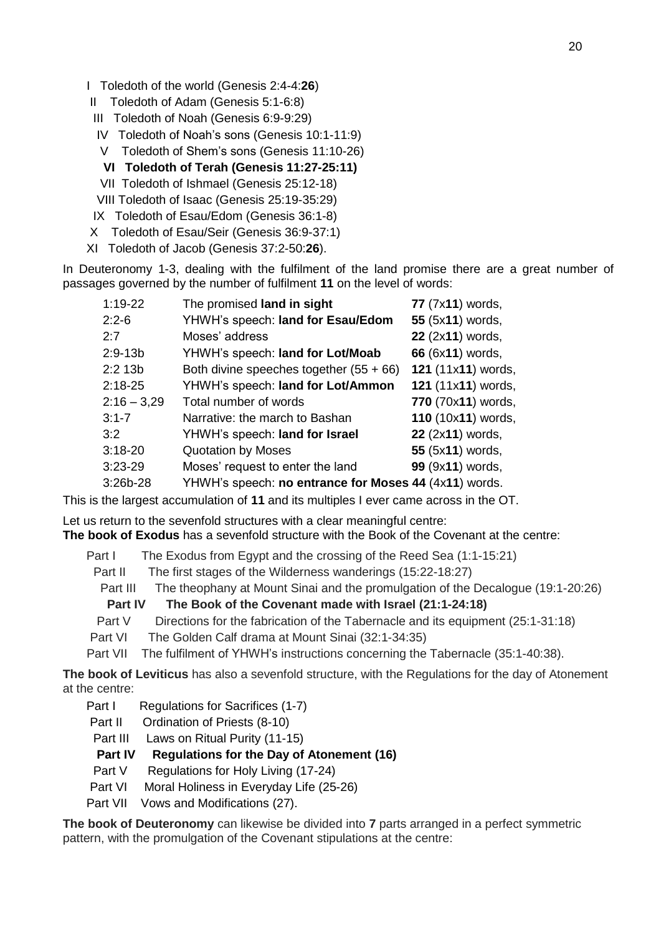- I Toledoth of the world (Genesis 2:4-4:**26**)
- II Toledoth of Adam (Genesis 5:1-6:8)
- III Toledoth of Noah (Genesis 6:9-9:29)
- IV Toledoth of Noah's sons (Genesis 10:1-11:9)
- V Toledoth of Shem's sons (Genesis 11:10-26)
- **VI Toledoth of Terah (Genesis 11:27-25:11)**
- VII Toledoth of Ishmael (Genesis 25:12-18)
- VIII Toledoth of Isaac (Genesis 25:19-35:29)
- IX Toledoth of Esau/Edom (Genesis 36:1-8)
- X Toledoth of Esau/Seir (Genesis 36:9-37:1)
- XI Toledoth of Jacob (Genesis 37:2-50:**26**).

In Deuteronomy 1-3, dealing with the fulfilment of the land promise there are a great number of passages governed by the number of fulfilment **11** on the level of words:

| $1:19-22$     | The promised land in sight                            | 77 (7x11) words,   |
|---------------|-------------------------------------------------------|--------------------|
| $2:2-6$       | YHWH's speech: land for Esau/Edom                     | 55 (5x11) words,   |
| 2:7           | Moses' address                                        | 22 (2x11) words,   |
| 2:9-13b       | YHWH's speech: land for Lot/Moab                      | 66 (6x11) words,   |
| 2:2 13b       | Both divine speeches together $(55 + 66)$             | 121 (11x11) words, |
| 2:18-25       | YHWH's speech: land for Lot/Ammon                     | 121 (11x11) words, |
| $2:16 - 3,29$ | Total number of words                                 | 770 (70x11) words, |
| $3:1 - 7$     | Narrative: the march to Bashan                        | 110 (10x11) words, |
| 3:2           | YHWH's speech: land for Israel                        | 22 (2x11) words,   |
| $3:18-20$     | <b>Quotation by Moses</b>                             | 55 (5x11) words,   |
| 3:23-29       | Moses' request to enter the land                      | 99 (9x11) words,   |
| 3:26b-28      | YHWH's speech: no entrance for Moses 44 (4x11) words. |                    |

This is the largest accumulation of **11** and its multiples I ever came across in the OT.

Let us return to the sevenfold structures with a clear meaningful centre:

**The book of Exodus** has a sevenfold structure with the Book of the Covenant at the centre:

Part I The Exodus from Egypt and the crossing of the Reed Sea (1:1-15:21)

- Part II The first stages of the Wilderness wanderings (15:22-18:27)
- Part III The theophany at Mount Sinai and the promulgation of the Decalogue (19:1-20:26)

 **Part IV The Book of the Covenant made with Israel (21:1-24:18)**

- Part V Directions for the fabrication of the Tabernacle and its equipment (25:1-31:18)
- Part VI The Golden Calf drama at Mount Sinai (32:1-34:35)
- Part VII The fulfilment of YHWH's instructions concerning the Tabernacle (35:1-40:38).

**The book of Leviticus** has also a sevenfold structure, with the Regulations for the day of Atonement at the centre:

- Part I Regulations for Sacrifices (1-7)
- Part II Ordination of Priests (8-10)
- Part III Laws on Ritual Purity (11-15)

#### **Part IV Regulations for the Day of Atonement (16)**

- Part V Regulations for Holy Living (17-24)
- Part VI Moral Holiness in Everyday Life (25-26)
- Part VII Vows and Modifications (27).

**The book of Deuteronomy** can likewise be divided into **7** parts arranged in a perfect symmetric pattern, with the promulgation of the Covenant stipulations at the centre: